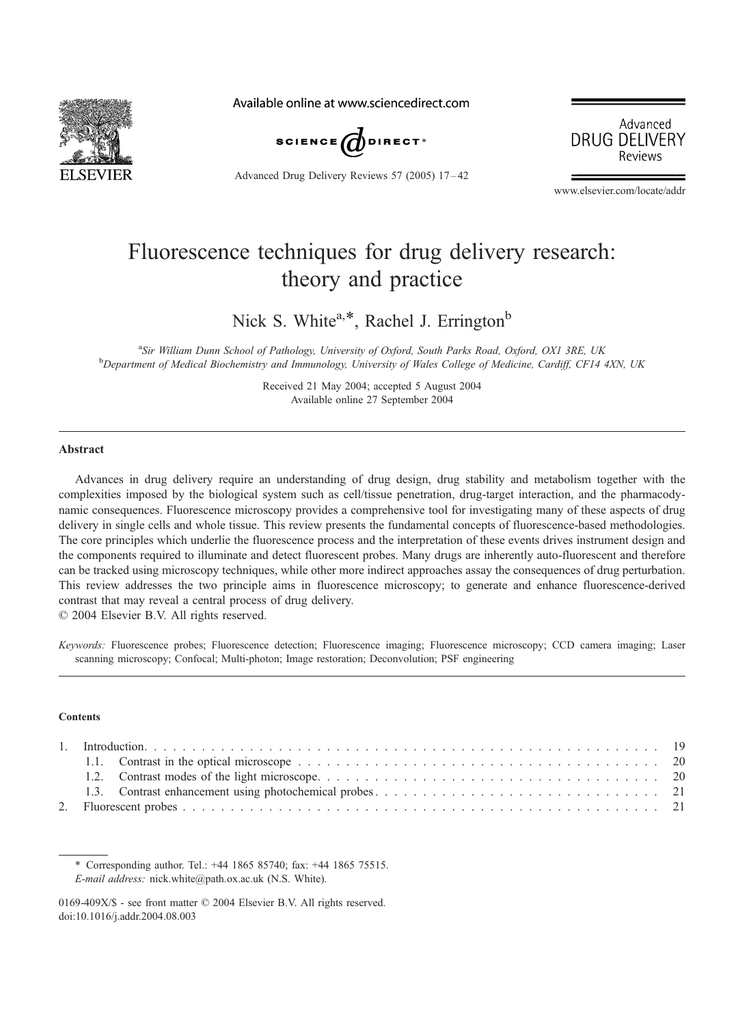

Available online at www.sciencedirect.com



Advanced Drug Delivery Reviews 57 (2005) 17 – 42



www.elsevier.com/locate/addr

# Fluorescence techniques for drug delivery research: theory and practice

Nick S. White<sup>a,\*</sup>, Rachel J. Errington<sup>b</sup>

<sup>a</sup> Sir William Dunn School of Pathology, University of Oxford, South Parks Road, Oxford, OX1 3RE, UK<br><sup>b</sup>Dopartment of Madiaal Biochamistm and Immunology, University of Wales College of Madiano, Cardiff, CE14 <sup>b</sup>Department of Medical Biochemistry and Immunology, University of Wales College of Medicine, Cardiff, CF14 4XN, UK

> Received 21 May 2004; accepted 5 August 2004 Available online 27 September 2004

## **Abstract**

Advances in drug delivery require an understanding of drug design, drug stability and metabolism together with the complexities imposed by the biological system such as cell/tissue penetration, drug-target interaction, and the pharmacodynamic consequences. Fluorescence microscopy provides a comprehensive tool for investigating many of these aspects of drug delivery in single cells and whole tissue. This review presents the fundamental concepts of fluorescence-based methodologies. The core principles which underlie the fluorescence process and the interpretation of these events drives instrument design and the components required to illuminate and detect fluorescent probes. Many drugs are inherently auto-fluorescent and therefore can be tracked using microscopy techniques, while other more indirect approaches assay the consequences of drug perturbation. This review addresses the two principle aims in fluorescence microscopy; to generate and enhance fluorescence-derived contrast that may reveal a central process of drug delivery.

 $© 2004 Elsevier B.V. All rights reserved.$ 

Keywords: Fluorescence probes; Fluorescence detection; Fluorescence imaging; Fluorescence microscopy; CCD camera imaging; Laser scanning microscopy; Confocal; Multi-photon; Image restoration; Deconvolution; PSF engineering

#### **Contents**

\* Corresponding author. Tel.: +44 1865 85740; fax: +44 1865 75515. E-mail address: nick.white@path.ox.ac.uk (N.S. White).

<sup>0169-409</sup> $X/S$  - see front matter  $\odot$  2004 Elsevier B.V. All rights reserved. doi:10.1016/j.addr.2004.08.003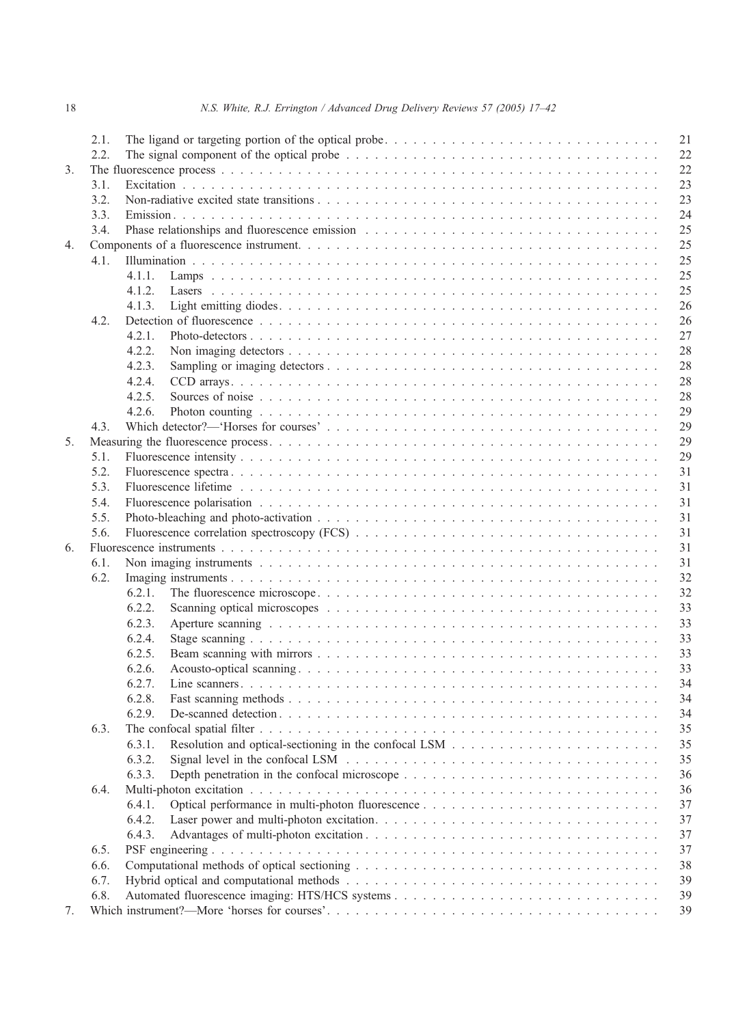|    | 2.1.         | 21                                                                                                                                    |  |  |  |  |
|----|--------------|---------------------------------------------------------------------------------------------------------------------------------------|--|--|--|--|
|    | 2.2.         | 22<br>The signal component of the optical probe $\ldots \ldots \ldots \ldots \ldots \ldots \ldots \ldots \ldots \ldots \ldots \ldots$ |  |  |  |  |
| 3. |              | 22                                                                                                                                    |  |  |  |  |
|    | 3.1.         | 23                                                                                                                                    |  |  |  |  |
|    | 3.2.         | 23                                                                                                                                    |  |  |  |  |
|    | 3.3.         | 24                                                                                                                                    |  |  |  |  |
|    | 3.4.         | 25                                                                                                                                    |  |  |  |  |
| 4. |              | 25                                                                                                                                    |  |  |  |  |
|    | 4.1.         | 25                                                                                                                                    |  |  |  |  |
|    |              | 25<br>4.1.1.                                                                                                                          |  |  |  |  |
|    |              | 25<br>4.1.2.                                                                                                                          |  |  |  |  |
|    |              | 26<br>4.1.3.                                                                                                                          |  |  |  |  |
|    | 4.2.         | 26                                                                                                                                    |  |  |  |  |
|    |              | 27<br>4.2.1.                                                                                                                          |  |  |  |  |
|    |              | 4.2.2.<br>28                                                                                                                          |  |  |  |  |
|    |              | 4.2.3.<br>28                                                                                                                          |  |  |  |  |
|    |              |                                                                                                                                       |  |  |  |  |
|    |              | 28<br>4.2.4.                                                                                                                          |  |  |  |  |
|    |              | 28<br>4.2.5.                                                                                                                          |  |  |  |  |
|    |              | 29<br>4.2.6.                                                                                                                          |  |  |  |  |
|    | 4.3.         | 29                                                                                                                                    |  |  |  |  |
| 5. |              | 29                                                                                                                                    |  |  |  |  |
|    | 5.1.         | 29                                                                                                                                    |  |  |  |  |
|    | 5.2.         | 31                                                                                                                                    |  |  |  |  |
|    | 5.3.         | 31                                                                                                                                    |  |  |  |  |
|    | 5.4.         | 31                                                                                                                                    |  |  |  |  |
|    | 5.5.         | 31                                                                                                                                    |  |  |  |  |
|    | 5.6.         | 31                                                                                                                                    |  |  |  |  |
| 6. |              | 31                                                                                                                                    |  |  |  |  |
|    | 6.1.         | 31                                                                                                                                    |  |  |  |  |
|    | 6.2.         | 32                                                                                                                                    |  |  |  |  |
|    |              | 32<br>6.2.1.                                                                                                                          |  |  |  |  |
|    |              | 6.2.2.<br>33                                                                                                                          |  |  |  |  |
|    |              | 33<br>6.2.3.                                                                                                                          |  |  |  |  |
|    |              |                                                                                                                                       |  |  |  |  |
|    |              | 33<br>6.2.4.                                                                                                                          |  |  |  |  |
|    |              | 33<br>6.2.5.                                                                                                                          |  |  |  |  |
|    |              | 6.2.6.<br>33                                                                                                                          |  |  |  |  |
|    |              | 6.2.7.<br>34                                                                                                                          |  |  |  |  |
|    |              | 34<br>6.2.8.                                                                                                                          |  |  |  |  |
|    |              | 34<br>6.2.9.                                                                                                                          |  |  |  |  |
|    | 6.3.         | 35                                                                                                                                    |  |  |  |  |
|    |              | 35<br>6.3.1.                                                                                                                          |  |  |  |  |
|    |              | 6.3.2.<br>35                                                                                                                          |  |  |  |  |
|    |              | 6.3.3.<br>36                                                                                                                          |  |  |  |  |
|    | 6.4.         | 36                                                                                                                                    |  |  |  |  |
|    |              | 37<br>6.4.1.                                                                                                                          |  |  |  |  |
|    |              | 6.4.2.<br>37                                                                                                                          |  |  |  |  |
|    |              | 6.4.3.<br>37                                                                                                                          |  |  |  |  |
|    | 6.5.         | 37                                                                                                                                    |  |  |  |  |
|    | 6.6.<br>6.7. |                                                                                                                                       |  |  |  |  |
|    |              |                                                                                                                                       |  |  |  |  |
|    | 6.8.         | 39<br>39                                                                                                                              |  |  |  |  |
| 7. |              | 39                                                                                                                                    |  |  |  |  |
|    |              |                                                                                                                                       |  |  |  |  |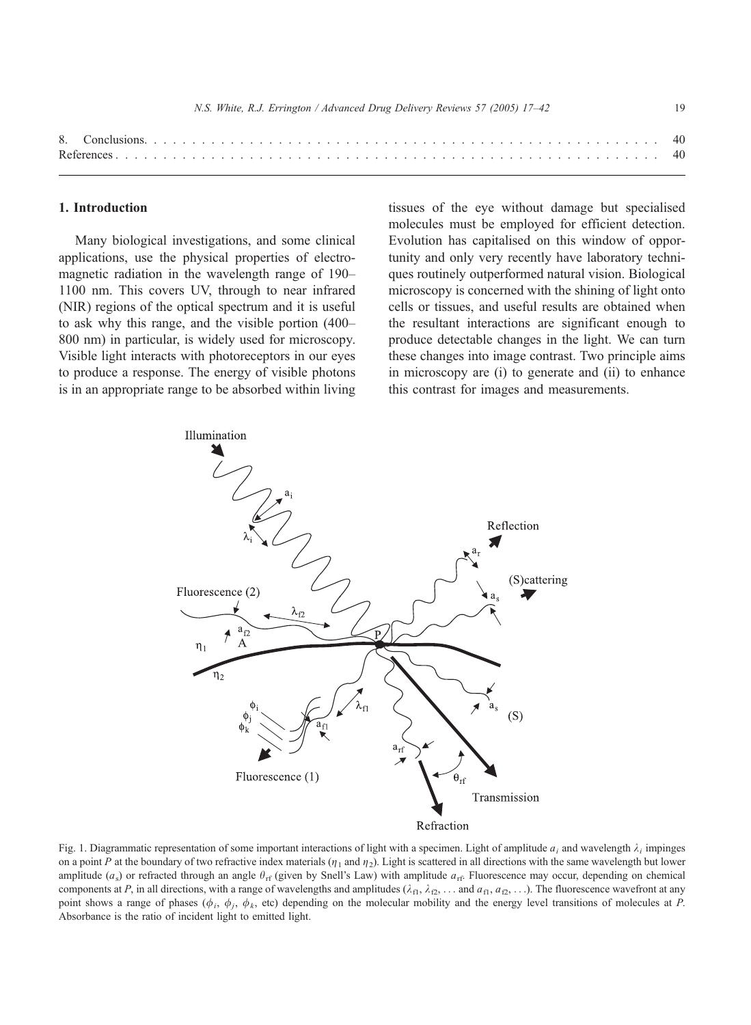<span id="page-2-0"></span>

N.S. White, R.J. Errington / Advanced Drug Delivery Reviews 57 (2005) 17–42 19

## 1. Introduction

Many biological investigations, and some clinical applications, use the physical properties of electromagnetic radiation in the wavelength range of 190– 1100 nm. This covers UV, through to near infrared (NIR) regions of the optical spectrum and it is useful to ask why this range, and the visible portion (400– 800 nm) in particular, is widely used for microscopy. Visible light interacts with photoreceptors in our eyes to produce a response. The energy of visible photons is in an appropriate range to be absorbed within living tissues of the eye without damage but specialised molecules must be employed for efficient detection. Evolution has capitalised on this window of opportunity and only very recently have laboratory techniques routinely outperformed natural vision. Biological microscopy is concerned with the shining of light onto cells or tissues, and useful results are obtained when the resultant interactions are significant enough to produce detectable changes in the light. We can turn these changes into image contrast. Two principle aims in microscopy are (i) to generate and (ii) to enhance this contrast for images and measurements.



Fig. 1. Diagrammatic representation of some important interactions of light with a specimen. Light of amplitude  $a_i$  and wavelength  $\lambda_i$  impinges on a point P at the boundary of two refractive index materials  $(\eta_1$  and  $\eta_2)$ . Light is scattered in all directions with the same wavelength but lower amplitude  $(a_s)$  or refracted through an angle  $\theta_{\rm rf}$  (given by Snell's Law) with amplitude  $a_{\rm rf}$ . Fluorescence may occur, depending on chemical components at P, in all directions, with a range of wavelengths and amplitudes ( $\lambda_{f1}, \lambda_{f2}, \ldots$  and  $a_{f1}, a_{f2}, \ldots$ ). The fluorescence wavefront at any point shows a range of phases ( $\phi_i$ ,  $\phi_j$ ,  $\phi_k$ , etc) depending on the molecular mobility and the energy level transitions of molecules at P. Absorbance is the ratio of incident light to emitted light.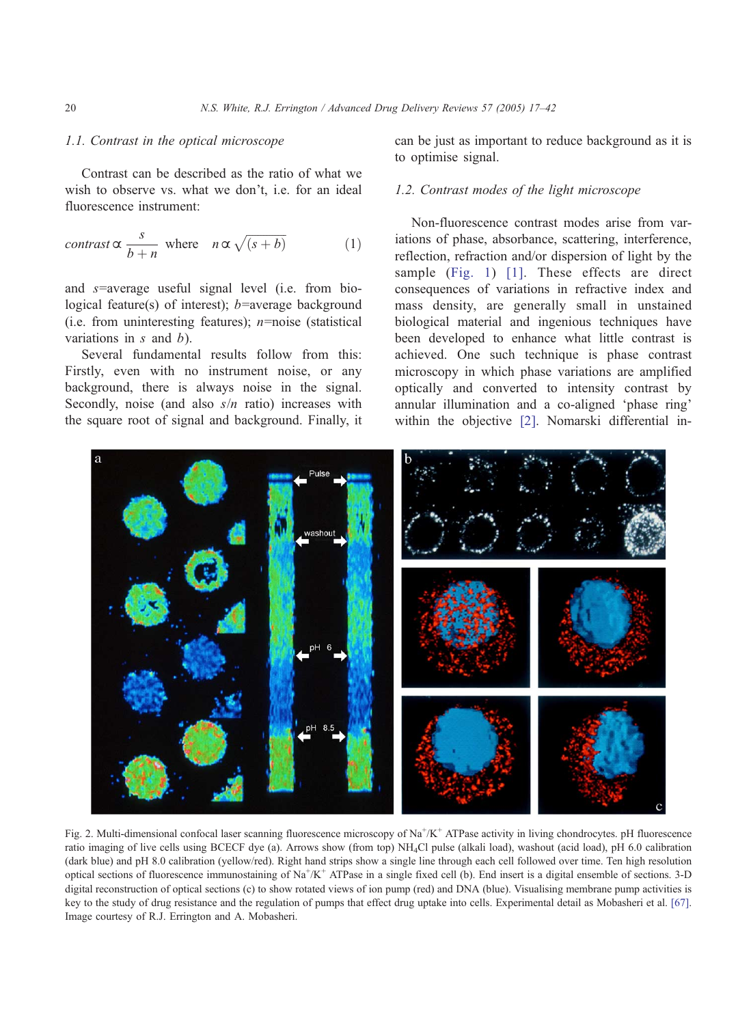## <span id="page-3-0"></span>1.1. Contrast in the optical microscope

Contrast can be described as the ratio of what we wish to observe vs. what we don't, i.e. for an ideal fluorescence instrument:

$$
contrast \propto \frac{s}{b+n} \text{ where } n \propto \sqrt{(s+b)} \tag{1}
$$

and s=average useful signal level (i.e. from biological feature(s) of interest);  $b$ =average background (i.e. from uninteresting features);  $n$ =noise (statistical variations in  $s$  and  $b$ ).

Several fundamental results follow from this: Firstly, even with no instrument noise, or any background, there is always noise in the signal. Secondly, noise (and also  $s/n$  ratio) increases with the square root of signal and background. Finally, it can be just as important to reduce background as it is to optimise signal.

## 1.2. Contrast modes of the light microscope

Non-fluorescence contrast modes arise from variations of phase, absorbance, scattering, interference, reflection, refraction and/or dispersion of light by the sample ([Fig. 1\)](#page-2-0) [\[1\].](#page-23-0) These effects are direct consequences of variations in refractive index and mass density, are generally small in unstained biological material and ingenious techniques have been developed to enhance what little contrast is achieved. One such technique is phase contrast microscopy in which phase variations are amplified optically and converted to intensity contrast by annular illumination and a co-aligned 'phase ring' within the objective [\[2\].](#page-23-0) Nomarski differential in-



Fig. 2. Multi-dimensional confocal laser scanning fluorescence microscopy of Na<sup>+</sup>/K<sup>+</sup> ATPase activity in living chondrocytes. pH fluorescence ratio imaging of live cells using BCECF dye (a). Arrows show (from top) NH4Cl pulse (alkali load), washout (acid load), pH 6.0 calibration (dark blue) and pH 8.0 calibration (yellow/red). Right hand strips show a single line through each cell followed over time. Ten high resolution optical sections of fluorescence immunostaining of Na<sup>+</sup>/K<sup>+</sup> ATPase in a single fixed cell (b). End insert is a digital ensemble of sections. 3-D digital reconstruction of optical sections (c) to show rotated views of ion pump (red) and DNA (blue). Visualising membrane pump activities is key to the study of drug resistance and the regulation of pumps that effect drug uptake into cells. Experimental detail as Mobasheri et al. [\[67\].](#page-25-0) Image courtesy of R.J. Errington and A. Mobasheri.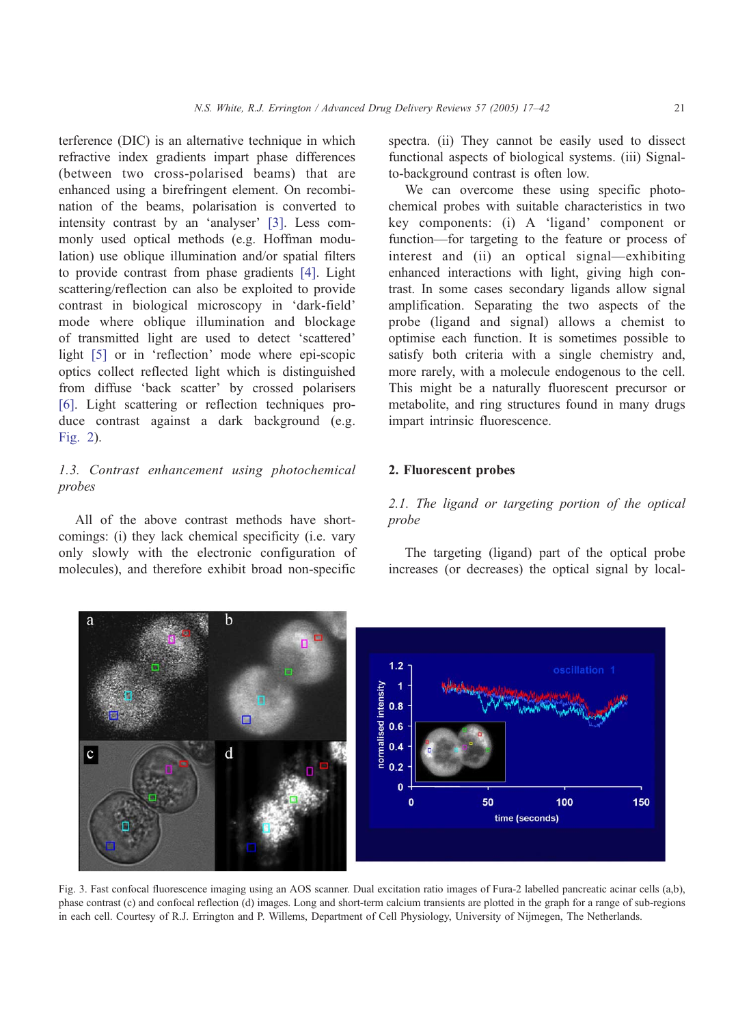<span id="page-4-0"></span>terference (DIC) is an alternative technique in which refractive index gradients impart phase differences (between two cross-polarised beams) that are enhanced using a birefringent element. On recombination of the beams, polarisation is converted to intensity contrast by an 'analyser' [\[3\].](#page-23-0) Less commonly used optical methods (e.g. Hoffman modulation) use oblique illumination and/or spatial filters to provide contrast from phase gradients [\[4\].](#page-23-0) Light scattering/reflection can also be exploited to provide contrast in biological microscopy in 'dark-field' mode where oblique illumination and blockage of transmitted light are used to detect 'scattered' light  $[5]$  or in 'reflection' mode where epi-scopic optics collect reflected light which is distinguished from diffuse 'back scatter' by crossed polarisers [\[6\].](#page-23-0) Light scattering or reflection techniques produce contrast against a dark background (e.g. [Fig. 2](#page-3-0)).

# 1.3. Contrast enhancement using photochemical probes

All of the above contrast methods have shortcomings: (i) they lack chemical specificity (i.e. vary only slowly with the electronic configuration of molecules), and therefore exhibit broad non-specific

spectra. (ii) They cannot be easily used to dissect functional aspects of biological systems. (iii) Signalto-background contrast is often low.

We can overcome these using specific photochemical probes with suitable characteristics in two key components: (i) A 'ligand' component or function—for targeting to the feature or process of interest and (ii) an optical signal—exhibiting enhanced interactions with light, giving high contrast. In some cases secondary ligands allow signal amplification. Separating the two aspects of the probe (ligand and signal) allows a chemist to optimise each function. It is sometimes possible to satisfy both criteria with a single chemistry and, more rarely, with a molecule endogenous to the cell. This might be a naturally fluorescent precursor or metabolite, and ring structures found in many drugs impart intrinsic fluorescence.

## 2. Fluorescent probes

# 2.1. The ligand or targeting portion of the optical probe

The targeting (ligand) part of the optical probe increases (or decreases) the optical signal by local-



Fig. 3. Fast confocal fluorescence imaging using an AOS scanner. Dual excitation ratio images of Fura-2 labelled pancreatic acinar cells (a,b), phase contrast (c) and confocal reflection (d) images. Long and short-term calcium transients are plotted in the graph for a range of sub-regions in each cell. Courtesy of R.J. Errington and P. Willems, Department of Cell Physiology, University of Nijmegen, The Netherlands.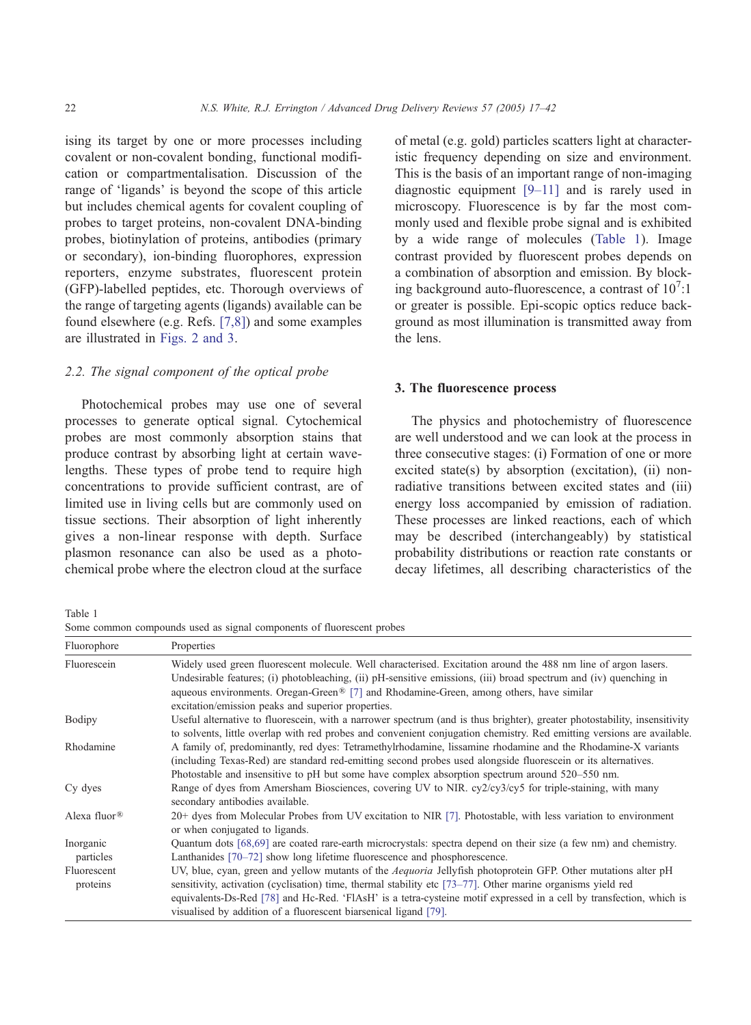ising its target by one or more processes including covalent or non-covalent bonding, functional modification or compartmentalisation. Discussion of the range of 'ligands' is beyond the scope of this article but includes chemical agents for covalent coupling of probes to target proteins, non-covalent DNA-binding probes, biotinylation of proteins, antibodies (primary or secondary), ion-binding fluorophores, expression reporters, enzyme substrates, fluorescent protein (GFP)-labelled peptides, etc. Thorough overviews of the range of targeting agents (ligands) available can be found elsewhere (e.g. Refs. [\[7,8\]\)](#page-23-0) and some examples are illustrated in [Figs. 2 and 3.](#page-3-0)

## 2.2. The signal component of the optical probe

Photochemical probes may use one of several processes to generate optical signal. Cytochemical probes are most commonly absorption stains that produce contrast by absorbing light at certain wavelengths. These types of probe tend to require high concentrations to provide sufficient contrast, are of limited use in living cells but are commonly used on tissue sections. Their absorption of light inherently gives a non-linear response with depth. Surface plasmon resonance can also be used as a photochemical probe where the electron cloud at the surface of metal (e.g. gold) particles scatters light at characteristic frequency depending on size and environment. This is the basis of an important range of non-imaging diagnostic equipment [\[9–11\]](#page-23-0) and is rarely used in microscopy. Fluorescence is by far the most commonly used and flexible probe signal and is exhibited by a wide range of molecules (Table 1). Image contrast provided by fluorescent probes depends on a combination of absorption and emission. By blocking background auto-fluorescence, a contrast of  $10^7$ :1 or greater is possible. Epi-scopic optics reduce background as most illumination is transmitted away from the lens.

## 3. The fluorescence process

The physics and photochemistry of fluorescence are well understood and we can look at the process in three consecutive stages: (i) Formation of one or more excited state(s) by absorption (excitation), (ii) nonradiative transitions between excited states and (iii) energy loss accompanied by emission of radiation. These processes are linked reactions, each of which may be described (interchangeably) by statistical probability distributions or reaction rate constants or decay lifetimes, all describing characteristics of the

Table 1

Some common compounds used as signal components of fluorescent probes

| Fluorophore              | Properties                                                                                                                                                                                                                                                                                                                                                                                                                        |  |  |  |  |  |
|--------------------------|-----------------------------------------------------------------------------------------------------------------------------------------------------------------------------------------------------------------------------------------------------------------------------------------------------------------------------------------------------------------------------------------------------------------------------------|--|--|--|--|--|
| Fluorescein              | Widely used green fluorescent molecule. Well characterised. Excitation around the 488 nm line of argon lasers.<br>Undesirable features; (i) photobleaching, (ii) pH-sensitive emissions, (iii) broad spectrum and (iv) quenching in<br>aqueous environments. Oregan-Green <sup>®</sup> [7] and Rhodamine-Green, among others, have similar<br>excitation/emission peaks and superior properties.                                  |  |  |  |  |  |
| Bodipy                   | Useful alternative to fluorescein, with a narrower spectrum (and is thus brighter), greater photostability, insensitivity<br>to solvents, little overlap with red probes and convenient conjugation chemistry. Red emitting versions are available.                                                                                                                                                                               |  |  |  |  |  |
| Rhodamine                | A family of, predominantly, red dyes: Tetramethylrhodamine, lissamine rhodamine and the Rhodamine-X variants<br>(including Texas-Red) are standard red-emitting second probes used alongside fluorescein or its alternatives.<br>Photostable and insensitive to pH but some have complex absorption spectrum around 520–550 nm.                                                                                                   |  |  |  |  |  |
| Cy dyes                  | Range of dyes from Amersham Biosciences, covering UV to NIR. cy2/cy3/cy5 for triple-staining, with many<br>secondary antibodies available.                                                                                                                                                                                                                                                                                        |  |  |  |  |  |
| Alexa fluor <sup>®</sup> | 20+ dyes from Molecular Probes from UV excitation to NIR [7]. Photostable, with less variation to environment<br>or when conjugated to ligands.                                                                                                                                                                                                                                                                                   |  |  |  |  |  |
| Inorganic<br>particles   | Quantum dots [68,69] are coated rare-earth microcrystals: spectra depend on their size (a few nm) and chemistry.<br>Lanthanides [70–72] show long lifetime fluorescence and phosphorescence.                                                                                                                                                                                                                                      |  |  |  |  |  |
| Fluorescent<br>proteins  | UV, blue, cyan, green and yellow mutants of the <i>Aequoria</i> Jellyfish photoprotein GFP. Other mutations alter pH<br>sensitivity, activation (cyclisation) time, thermal stability etc $[73-77]$ . Other marine organisms yield red<br>equivalents-Ds-Red [78] and Hc-Red. 'FlAsH' is a tetra-cysteine motif expressed in a cell by transfection, which is<br>visualised by addition of a fluorescent biarsenical ligand [79]. |  |  |  |  |  |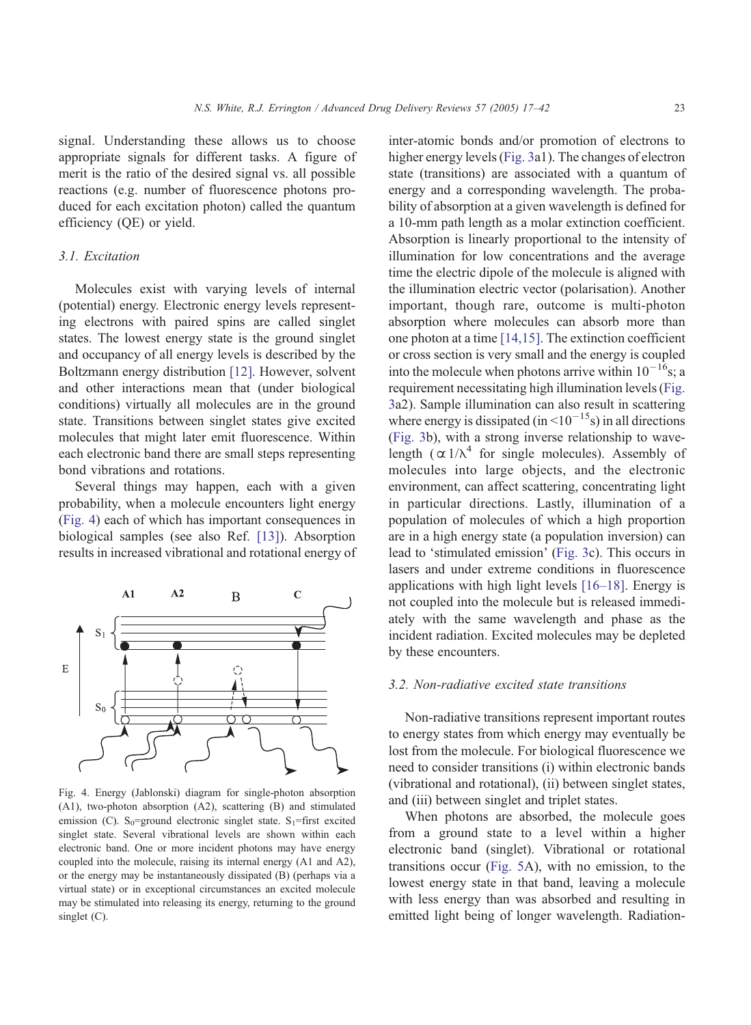signal. Understanding these allows us to choose appropriate signals for different tasks. A figure of merit is the ratio of the desired signal vs. all possible reactions (e.g. number of fluorescence photons produced for each excitation photon) called the quantum efficiency (QE) or yield.

## 3.1. Excitation

Molecules exist with varying levels of internal (potential) energy. Electronic energy levels representing electrons with paired spins are called singlet states. The lowest energy state is the ground singlet and occupancy of all energy levels is described by the Boltzmann energy distribution [\[12\].](#page-23-0) However, solvent and other interactions mean that (under biological conditions) virtually all molecules are in the ground state. Transitions between singlet states give excited molecules that might later emit fluorescence. Within each electronic band there are small steps representing bond vibrations and rotations.

Several things may happen, each with a given probability, when a molecule encounters light energy (Fig. 4) each of which has important consequences in biological samples (see also Ref. [\[13\]\)](#page-23-0). Absorption results in increased vibrational and rotational energy of



Fig. 4. Energy (Jablonski) diagram for single-photon absorption (A1), two-photon absorption (A2), scattering (B) and stimulated emission (C). S<sub>0</sub>=ground electronic singlet state. S<sub>1</sub>=first excited singlet state. Several vibrational levels are shown within each electronic band. One or more incident photons may have energy coupled into the molecule, raising its internal energy (A1 and A2), or the energy may be instantaneously dissipated (B) (perhaps via a virtual state) or in exceptional circumstances an excited molecule may be stimulated into releasing its energy, returning to the ground singlet (C).

inter-atomic bonds and/or promotion of electrons to higher energy levels ([Fig. 3a](#page-4-0)1). The changes of electron state (transitions) are associated with a quantum of energy and a corresponding wavelength. The probability of absorption at a given wavelength is defined for a 10-mm path length as a molar extinction coefficient. Absorption is linearly proportional to the intensity of illumination for low concentrations and the average time the electric dipole of the molecule is aligned with the illumination electric vector (polarisation). Another important, though rare, outcome is multi-photon absorption where molecules can absorb more than one photon at a time [\[14,15\].](#page-23-0) The extinction coefficient or cross section is very small and the energy is coupled into the molecule when photons arrive within  $10^{-16}$ s; a requirement necessitating high illumination levels ([Fig.](#page-4-0) 3a2). Sample illumination can also result in scattering where energy is dissipated (in  $\leq 10^{-15}$ s) in all directions ([Fig. 3b](#page-4-0)), with a strong inverse relationship to wavelength  $(\alpha)/\lambda^4$  for single molecules). Assembly of molecules into large objects, and the electronic environment, can affect scattering, concentrating light in particular directions. Lastly, illumination of a population of molecules of which a high proportion are in a high energy state (a population inversion) can lead to 'stimulated emission' ([Fig. 3c](#page-4-0)). This occurs in lasers and under extreme conditions in fluorescence applications with high light levels [\[16–18\].](#page-24-0) Energy is not coupled into the molecule but is released immediately with the same wavelength and phase as the incident radiation. Excited molecules may be depleted by these encounters.

### 3.2. Non-radiative excited state transitions

Non-radiative transitions represent important routes to energy states from which energy may eventually be lost from the molecule. For biological fluorescence we need to consider transitions (i) within electronic bands (vibrational and rotational), (ii) between singlet states, and (iii) between singlet and triplet states.

When photons are absorbed, the molecule goes from a ground state to a level within a higher electronic band (singlet). Vibrational or rotational transitions occur ([Fig. 5A](#page-7-0)), with no emission, to the lowest energy state in that band, leaving a molecule with less energy than was absorbed and resulting in emitted light being of longer wavelength. Radiation-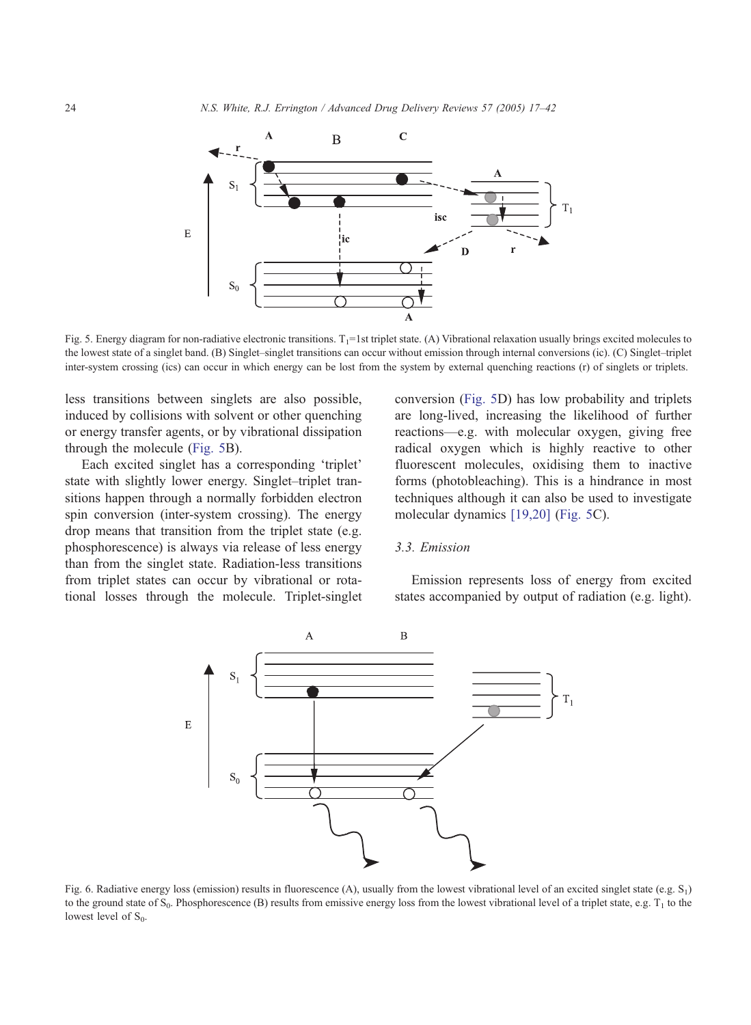<span id="page-7-0"></span>

Fig. 5. Energy diagram for non-radiative electronic transitions.  $T_1=1$  st triplet state. (A) Vibrational relaxation usually brings excited molecules to the lowest state of a singlet band. (B) Singlet–singlet transitions can occur without emission through internal conversions (ic). (C) Singlet–triplet inter-system crossing (ics) can occur in which energy can be lost from the system by external quenching reactions (r) of singlets or triplets.

less transitions between singlets are also possible, induced by collisions with solvent or other quenching or energy transfer agents, or by vibrational dissipation through the molecule (Fig. 5B).

Each excited singlet has a corresponding 'triplet' state with slightly lower energy. Singlet–triplet transitions happen through a normally forbidden electron spin conversion (inter-system crossing). The energy drop means that transition from the triplet state (e.g. phosphorescence) is always via release of less energy than from the singlet state. Radiation-less transitions from triplet states can occur by vibrational or rotational losses through the molecule. Triplet-singlet conversion (Fig. 5D) has low probability and triplets are long-lived, increasing the likelihood of further reactions—e.g. with molecular oxygen, giving free radical oxygen which is highly reactive to other fluorescent molecules, oxidising them to inactive forms (photobleaching). This is a hindrance in most techniques although it can also be used to investigate molecular dynamics [\[19,20\]](#page-24-0) (Fig. 5C).

#### 3.3. Emission

Emission represents loss of energy from excited states accompanied by output of radiation (e.g. light).



Fig. 6. Radiative energy loss (emission) results in fluorescence (A), usually from the lowest vibrational level of an excited singlet state (e.g.  $S_1$ ) to the ground state of  $S_0$ . Phosphorescence (B) results from emissive energy loss from the lowest vibrational level of a triplet state, e.g.  $T_1$  to the lowest level of  $S_0$ .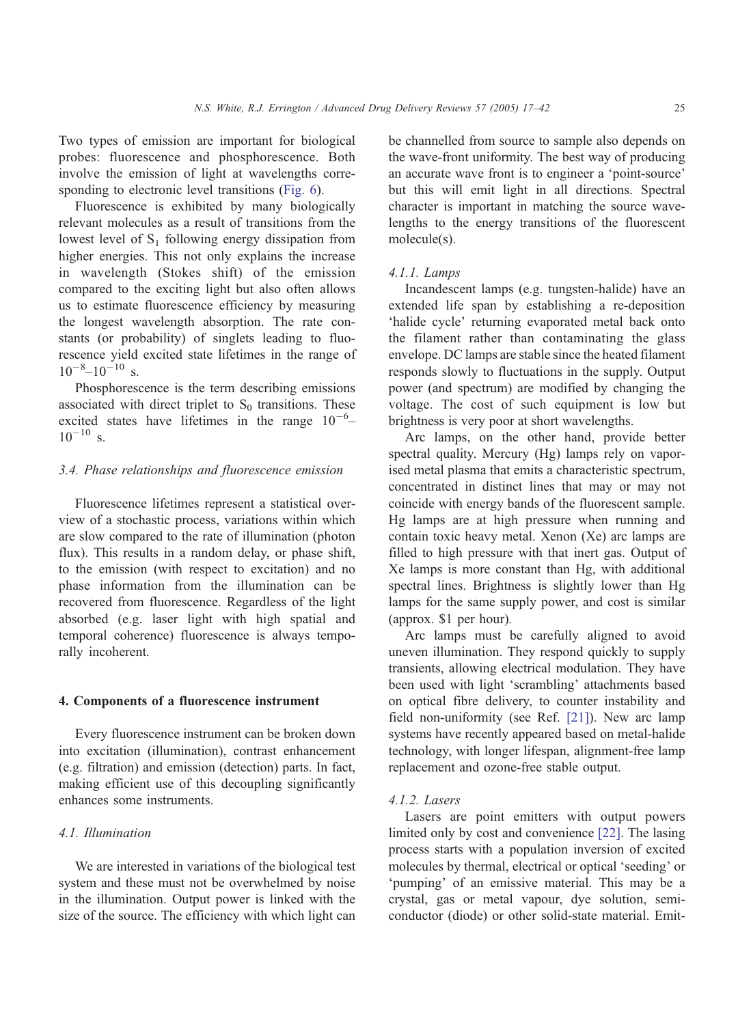Two types of emission are important for biological probes: fluorescence and phosphorescence. Both involve the emission of light at wavelengths corresponding to electronic level transitions ([Fig. 6\)](#page-7-0).

Fluorescence is exhibited by many biologically relevant molecules as a result of transitions from the lowest level of  $S_1$  following energy dissipation from higher energies. This not only explains the increase in wavelength (Stokes shift) of the emission compared to the exciting light but also often allows us to estimate fluorescence efficiency by measuring the longest wavelength absorption. The rate constants (or probability) of singlets leading to fluorescence yield excited state lifetimes in the range of  $10^{-8}$ - $10^{-10}$  s.

Phosphorescence is the term describing emissions associated with direct triplet to  $S_0$  transitions. These excited states have lifetimes in the range  $10^{-6}$ - $10^{-10}$  s.

## 3.4. Phase relationships and fluorescence emission

Fluorescence lifetimes represent a statistical overview of a stochastic process, variations within which are slow compared to the rate of illumination (photon flux). This results in a random delay, or phase shift, to the emission (with respect to excitation) and no phase information from the illumination can be recovered from fluorescence. Regardless of the light absorbed (e.g. laser light with high spatial and temporal coherence) fluorescence is always temporally incoherent.

#### 4. Components of a fluorescence instrument

Every fluorescence instrument can be broken down into excitation (illumination), contrast enhancement (e.g. filtration) and emission (detection) parts. In fact, making efficient use of this decoupling significantly enhances some instruments.

## 4.1. Illumination

We are interested in variations of the biological test system and these must not be overwhelmed by noise in the illumination. Output power is linked with the size of the source. The efficiency with which light can

be channelled from source to sample also depends on the wave-front uniformity. The best way of producing an accurate wave front is to engineer a 'point-source' but this will emit light in all directions. Spectral character is important in matching the source wavelengths to the energy transitions of the fluorescent molecule(s).

#### 4.1.1. Lamps

Incandescent lamps (e.g. tungsten-halide) have an extended life span by establishing a re-deposition 'halide cycle' returning evaporated metal back onto the filament rather than contaminating the glass envelope. DC lamps are stable since the heated filament responds slowly to fluctuations in the supply. Output power (and spectrum) are modified by changing the voltage. The cost of such equipment is low but brightness is very poor at short wavelengths.

Arc lamps, on the other hand, provide better spectral quality. Mercury (Hg) lamps rely on vaporised metal plasma that emits a characteristic spectrum, concentrated in distinct lines that may or may not coincide with energy bands of the fluorescent sample. Hg lamps are at high pressure when running and contain toxic heavy metal. Xenon (Xe) arc lamps are filled to high pressure with that inert gas. Output of Xe lamps is more constant than Hg, with additional spectral lines. Brightness is slightly lower than Hg lamps for the same supply power, and cost is similar (approx. \$1 per hour).

Arc lamps must be carefully aligned to avoid uneven illumination. They respond quickly to supply transients, allowing electrical modulation. They have been used with light 'scrambling' attachments based on optical fibre delivery, to counter instability and field non-uniformity (see Ref. [\[21\]\)](#page-24-0). New arc lamp systems have recently appeared based on metal-halide technology, with longer lifespan, alignment-free lamp replacement and ozone-free stable output.

#### 4.1.2. Lasers

Lasers are point emitters with output powers limited only by cost and convenience [\[22\].](#page-24-0) The lasing process starts with a population inversion of excited molecules by thermal, electrical or optical 'seeding' or 'pumping' of an emissive material. This may be a crystal, gas or metal vapour, dye solution, semiconductor (diode) or other solid-state material. Emit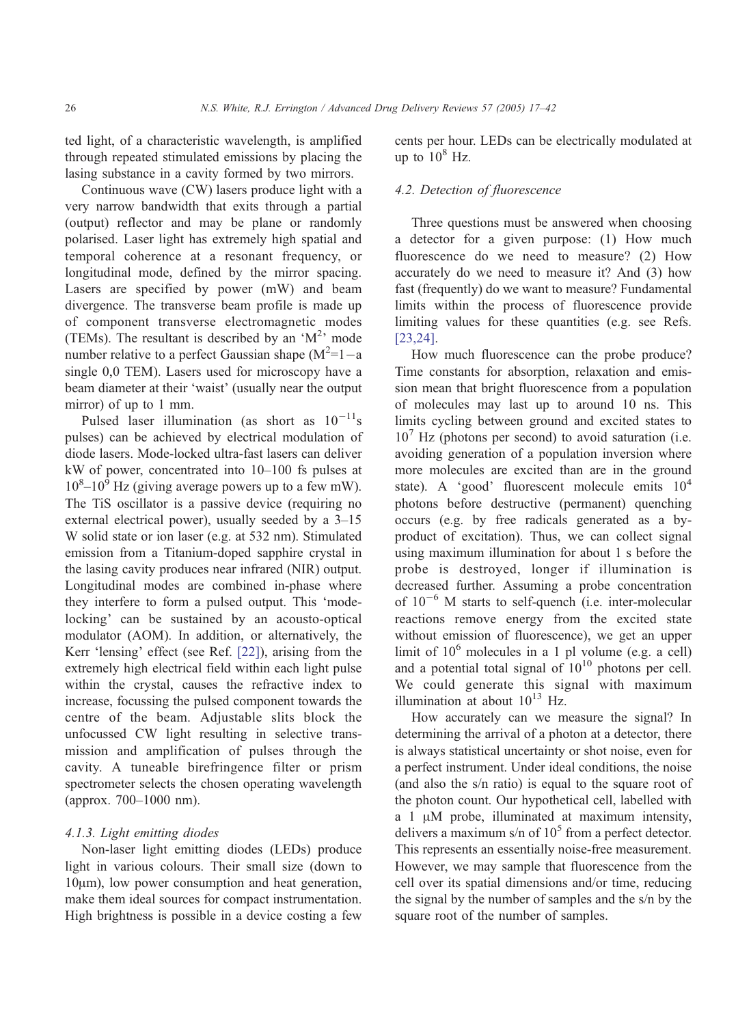ted light, of a characteristic wavelength, is amplified through repeated stimulated emissions by placing the lasing substance in a cavity formed by two mirrors.

Continuous wave (CW) lasers produce light with a very narrow bandwidth that exits through a partial (output) reflector and may be plane or randomly polarised. Laser light has extremely high spatial and temporal coherence at a resonant frequency, or longitudinal mode, defined by the mirror spacing. Lasers are specified by power (mW) and beam divergence. The transverse beam profile is made up of component transverse electromagnetic modes (TEMs). The resultant is described by an ' $M^2$ <sup>,</sup> mode number relative to a perfect Gaussian shape  $(M^2=1-a)$ single 0,0 TEM). Lasers used for microscopy have a beam diameter at their 'waist' (usually near the output mirror) of up to 1 mm.

Pulsed laser illumination (as short as  $10^{-11}$ s pulses) can be achieved by electrical modulation of diode lasers. Mode-locked ultra-fast lasers can deliver kW of power, concentrated into 10–100 fs pulses at  $10^8 - 10^9$  Hz (giving average powers up to a few mW). The TiS oscillator is a passive device (requiring no external electrical power), usually seeded by a 3–15 W solid state or ion laser (e.g. at 532 nm). Stimulated emission from a Titanium-doped sapphire crystal in the lasing cavity produces near infrared (NIR) output. Longitudinal modes are combined in-phase where they interfere to form a pulsed output. This 'modelocking' can be sustained by an acousto-optical modulator (AOM). In addition, or alternatively, the Kerr 'lensing' effect (see Ref.  $[22]$ ), arising from the extremely high electrical field within each light pulse within the crystal, causes the refractive index to increase, focussing the pulsed component towards the centre of the beam. Adjustable slits block the unfocussed CW light resulting in selective transmission and amplification of pulses through the cavity. A tuneable birefringence filter or prism spectrometer selects the chosen operating wavelength (approx. 700–1000 nm).

#### 4.1.3. Light emitting diodes

Non-laser light emitting diodes (LEDs) produce light in various colours. Their small size (down to  $10\mu$ m), low power consumption and heat generation, make them ideal sources for compact instrumentation. High brightness is possible in a device costing a few cents per hour. LEDs can be electrically modulated at up to  $10^8$  Hz.

## 4.2. Detection of fluorescence

Three questions must be answered when choosing a detector for a given purpose: (1) How much fluorescence do we need to measure? (2) How accurately do we need to measure it? And (3) how fast (frequently) do we want to measure? Fundamental limits within the process of fluorescence provide limiting values for these quantities (e.g. see Refs. [\[23,24\].](#page-24-0)

How much fluorescence can the probe produce? Time constants for absorption, relaxation and emission mean that bright fluorescence from a population of molecules may last up to around 10 ns. This limits cycling between ground and excited states to  $10<sup>7</sup>$  Hz (photons per second) to avoid saturation (i.e. avoiding generation of a population inversion where more molecules are excited than are in the ground state). A 'good' fluorescent molecule emits  $10^4$ photons before destructive (permanent) quenching occurs (e.g. by free radicals generated as a byproduct of excitation). Thus, we can collect signal using maximum illumination for about 1 s before the probe is destroyed, longer if illumination is decreased further. Assuming a probe concentration of  $10^{-6}$  M starts to self-quench (i.e. inter-molecular reactions remove energy from the excited state without emission of fluorescence), we get an upper limit of  $10^6$  molecules in a 1 pl volume (e.g. a cell) and a potential total signal of  $10^{10}$  photons per cell. We could generate this signal with maximum illumination at about  $10^{13}$  Hz.

How accurately can we measure the signal? In determining the arrival of a photon at a detector, there is always statistical uncertainty or shot noise, even for a perfect instrument. Under ideal conditions, the noise (and also the s/n ratio) is equal to the square root of the photon count. Our hypothetical cell, labelled with  $a$  1  $\mu$ M probe, illuminated at maximum intensity, delivers a maximum s/n of  $10^5$  from a perfect detector. This represents an essentially noise-free measurement. However, we may sample that fluorescence from the cell over its spatial dimensions and/or time, reducing the signal by the number of samples and the s/n by the square root of the number of samples.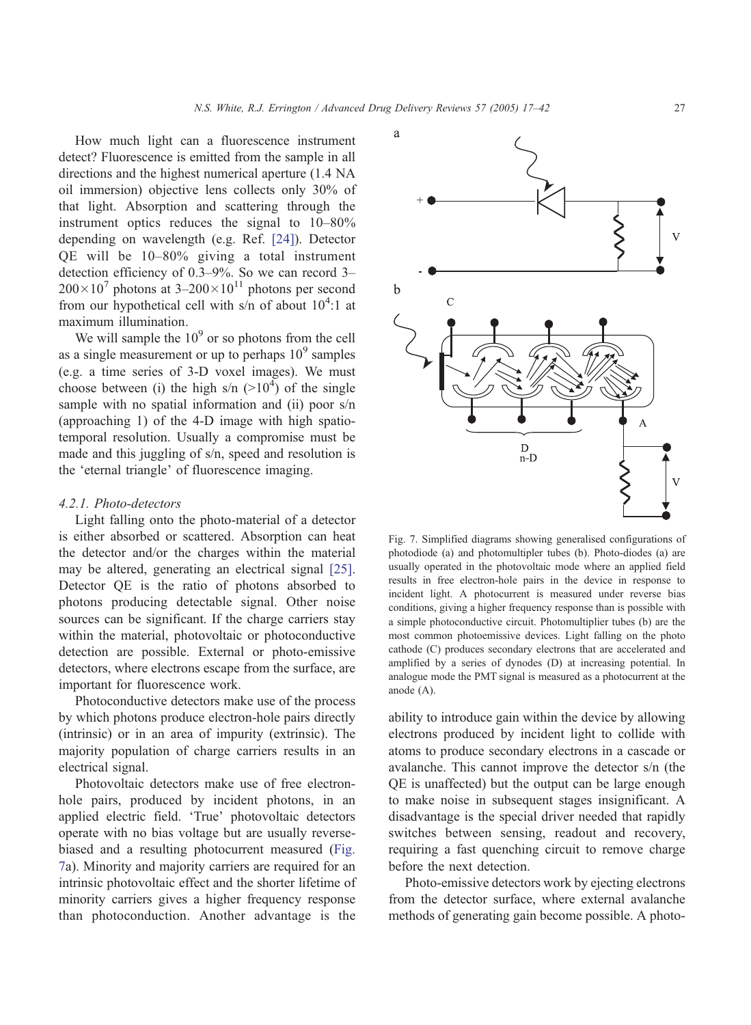<span id="page-10-0"></span>How much light can a fluorescence instrument detect? Fluorescence is emitted from the sample in all directions and the highest numerical aperture (1.4 NA oil immersion) objective lens collects only 30% of that light. Absorption and scattering through the instrument optics reduces the signal to 10–80% depending on wavelength (e.g. Ref. [\[24\]\)](#page-24-0). Detector QE will be 10–80% giving a total instrument detection efficiency of 0.3–9%. So we can record 3–  $200\times10^{7}$  photons at  $3-200\times10^{11}$  photons per second from our hypothetical cell with  $s/n$  of about  $10^4$ :1 at maximum illumination.

We will sample the  $10<sup>9</sup>$  or so photons from the cell as a single measurement or up to perhaps  $10<sup>9</sup>$  samples (e.g. a time series of 3-D voxel images). We must choose between (i) the high s/n  $(>10^4)$  of the single sample with no spatial information and (ii) poor s/n (approaching 1) of the 4-D image with high spatiotemporal resolution. Usually a compromise must be made and this juggling of s/n, speed and resolution is the 'eternal triangle' of fluorescence imaging.

## 4.2.1. Photo-detectors

Light falling onto the photo-material of a detector is either absorbed or scattered. Absorption can heat the detector and/or the charges within the material may be altered, generating an electrical signal [\[25\].](#page-24-0) Detector QE is the ratio of photons absorbed to photons producing detectable signal. Other noise sources can be significant. If the charge carriers stay within the material, photovoltaic or photoconductive detection are possible. External or photo-emissive detectors, where electrons escape from the surface, are important for fluorescence work.

Photoconductive detectors make use of the process by which photons produce electron-hole pairs directly (intrinsic) or in an area of impurity (extrinsic). The majority population of charge carriers results in an electrical signal.

Photovoltaic detectors make use of free electronhole pairs, produced by incident photons, in an applied electric field. 'True' photovoltaic detectors operate with no bias voltage but are usually reversebiased and a resulting photocurrent measured (Fig. 7a). Minority and majority carriers are required for an intrinsic photovoltaic effect and the shorter lifetime of minority carriers gives a higher frequency response than photoconduction. Another advantage is the



Fig. 7. Simplified diagrams showing generalised configurations of photodiode (a) and photomultipler tubes (b). Photo-diodes (a) are usually operated in the photovoltaic mode where an applied field results in free electron-hole pairs in the device in response to incident light. A photocurrent is measured under reverse bias conditions, giving a higher frequency response than is possible with a simple photoconductive circuit. Photomultiplier tubes (b) are the most common photoemissive devices. Light falling on the photo cathode (C) produces secondary electrons that are accelerated and amplified by a series of dynodes (D) at increasing potential. In analogue mode the PMT signal is measured as a photocurrent at the anode (A).

ability to introduce gain within the device by allowing electrons produced by incident light to collide with atoms to produce secondary electrons in a cascade or avalanche. This cannot improve the detector s/n (the QE is unaffected) but the output can be large enough to make noise in subsequent stages insignificant. A disadvantage is the special driver needed that rapidly switches between sensing, readout and recovery, requiring a fast quenching circuit to remove charge before the next detection.

Photo-emissive detectors work by ejecting electrons from the detector surface, where external avalanche methods of generating gain become possible. A photo-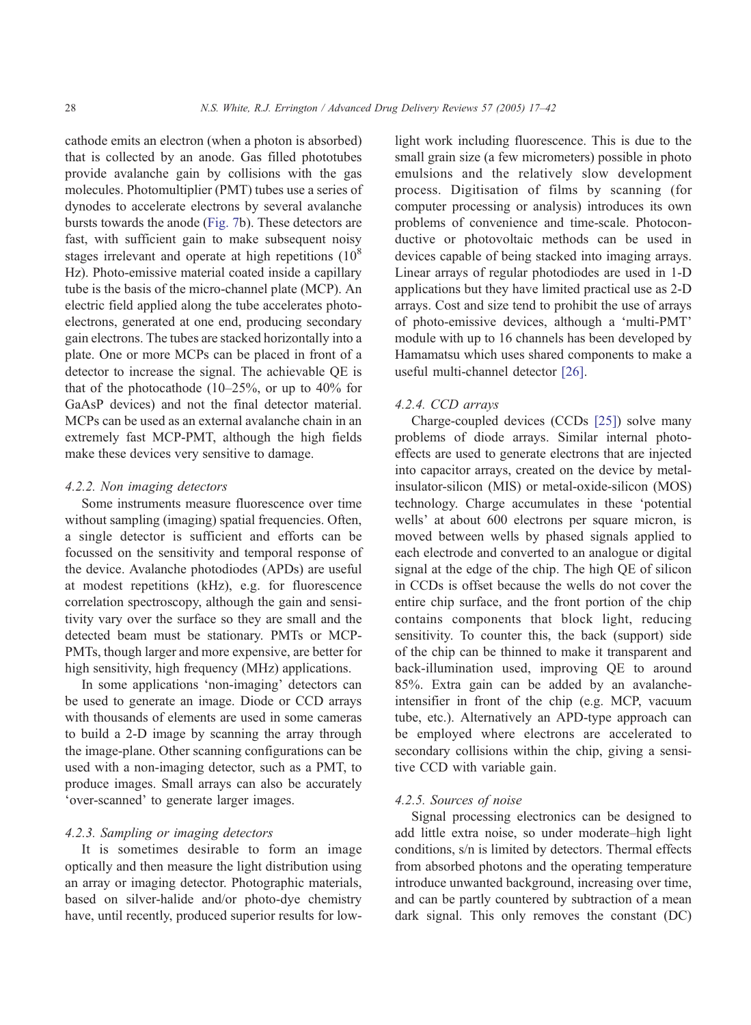cathode emits an electron (when a photon is absorbed) that is collected by an anode. Gas filled phototubes provide avalanche gain by collisions with the gas molecules. Photomultiplier (PMT) tubes use a series of dynodes to accelerate electrons by several avalanche bursts towards the anode ([Fig. 7b](#page-10-0)). These detectors are fast, with sufficient gain to make subsequent noisy stages irrelevant and operate at high repetitions  $(10^8)$ Hz). Photo-emissive material coated inside a capillary tube is the basis of the micro-channel plate (MCP). An electric field applied along the tube accelerates photoelectrons, generated at one end, producing secondary gain electrons. The tubes are stacked horizontally into a plate. One or more MCPs can be placed in front of a detector to increase the signal. The achievable QE is that of the photocathode  $(10-25\%$ , or up to  $40\%$  for GaAsP devices) and not the final detector material. MCPs can be used as an external avalanche chain in an extremely fast MCP-PMT, although the high fields make these devices very sensitive to damage.

## 4.2.2. Non imaging detectors

Some instruments measure fluorescence over time without sampling (imaging) spatial frequencies. Often, a single detector is sufficient and efforts can be focussed on the sensitivity and temporal response of the device. Avalanche photodiodes (APDs) are useful at modest repetitions (kHz), e.g. for fluorescence correlation spectroscopy, although the gain and sensitivity vary over the surface so they are small and the detected beam must be stationary. PMTs or MCP-PMTs, though larger and more expensive, are better for high sensitivity, high frequency (MHz) applications.

In some applications 'non-imaging' detectors can be used to generate an image. Diode or CCD arrays with thousands of elements are used in some cameras to build a 2-D image by scanning the array through the image-plane. Other scanning configurations can be used with a non-imaging detector, such as a PMT, to produce images. Small arrays can also be accurately 'over-scanned' to generate larger images.

## 4.2.3. Sampling or imaging detectors

It is sometimes desirable to form an image optically and then measure the light distribution using an array or imaging detector. Photographic materials, based on silver-halide and/or photo-dye chemistry have, until recently, produced superior results for lowlight work including fluorescence. This is due to the small grain size (a few micrometers) possible in photo emulsions and the relatively slow development process. Digitisation of films by scanning (for computer processing or analysis) introduces its own problems of convenience and time-scale. Photoconductive or photovoltaic methods can be used in devices capable of being stacked into imaging arrays. Linear arrays of regular photodiodes are used in 1-D applications but they have limited practical use as 2-D arrays. Cost and size tend to prohibit the use of arrays of photo-emissive devices, although a 'multi-PMT' module with up to 16 channels has been developed by Hamamatsu which uses shared components to make a useful multi-channel detector [\[26\].](#page-24-0)

## 4.2.4. CCD arrays

Charge-coupled devices (CCDs [\[25\]\)](#page-24-0) solve many problems of diode arrays. Similar internal photoeffects are used to generate electrons that are injected into capacitor arrays, created on the device by metalinsulator-silicon (MIS) or metal-oxide-silicon (MOS) technology. Charge accumulates in these 'potential wells' at about 600 electrons per square micron, is moved between wells by phased signals applied to each electrode and converted to an analogue or digital signal at the edge of the chip. The high QE of silicon in CCDs is offset because the wells do not cover the entire chip surface, and the front portion of the chip contains components that block light, reducing sensitivity. To counter this, the back (support) side of the chip can be thinned to make it transparent and back-illumination used, improving QE to around 85%. Extra gain can be added by an avalancheintensifier in front of the chip (e.g. MCP, vacuum tube, etc.). Alternatively an APD-type approach can be employed where electrons are accelerated to secondary collisions within the chip, giving a sensitive CCD with variable gain.

## 4.2.5. Sources of noise

Signal processing electronics can be designed to add little extra noise, so under moderate–high light conditions, s/n is limited by detectors. Thermal effects from absorbed photons and the operating temperature introduce unwanted background, increasing over time, and can be partly countered by subtraction of a mean dark signal. This only removes the constant (DC)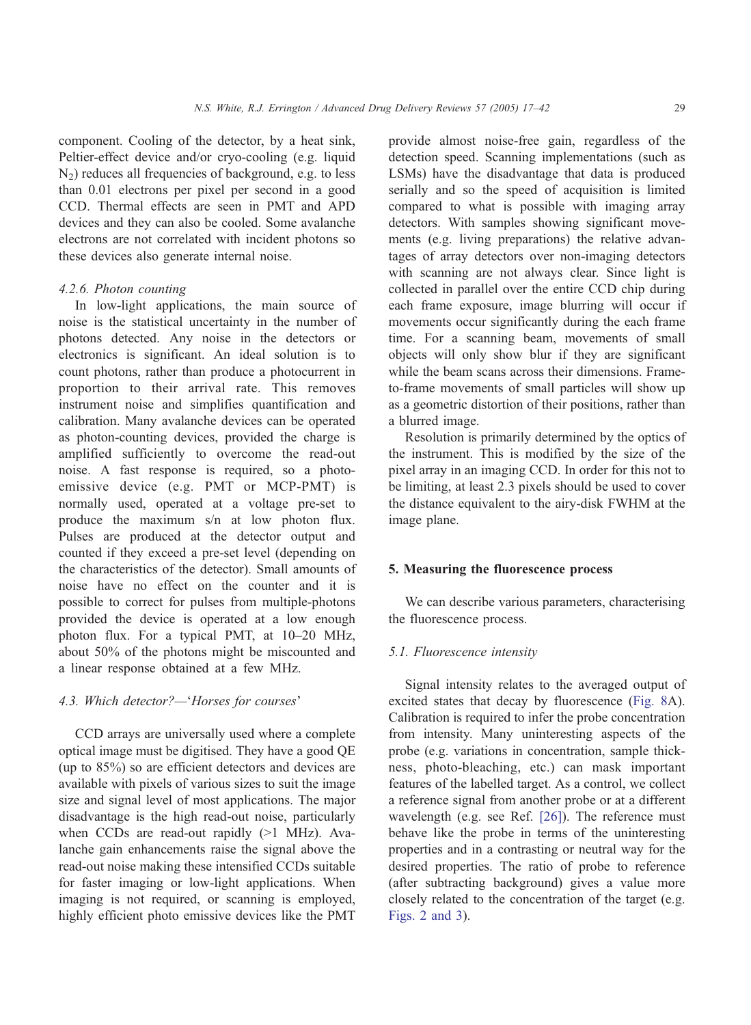component. Cooling of the detector, by a heat sink, Peltier-effect device and/or cryo-cooling (e.g. liquid  $N<sub>2</sub>$ ) reduces all frequencies of background, e.g. to less than 0.01 electrons per pixel per second in a good CCD. Thermal effects are seen in PMT and APD devices and they can also be cooled. Some avalanche electrons are not correlated with incident photons so these devices also generate internal noise.

#### 4.2.6. Photon counting

In low-light applications, the main source of noise is the statistical uncertainty in the number of photons detected. Any noise in the detectors or electronics is significant. An ideal solution is to count photons, rather than produce a photocurrent in proportion to their arrival rate. This removes instrument noise and simplifies quantification and calibration. Many avalanche devices can be operated as photon-counting devices, provided the charge is amplified sufficiently to overcome the read-out noise. A fast response is required, so a photoemissive device (e.g. PMT or MCP-PMT) is normally used, operated at a voltage pre-set to produce the maximum s/n at low photon flux. Pulses are produced at the detector output and counted if they exceed a pre-set level (depending on the characteristics of the detector). Small amounts of noise have no effect on the counter and it is possible to correct for pulses from multiple-photons provided the device is operated at a low enough photon flux. For a typical PMT, at 10–20 MHz, about 50% of the photons might be miscounted and a linear response obtained at a few MHz.

## 4.3. Which detector?-'Horses for courses'

CCD arrays are universally used where a complete optical image must be digitised. They have a good QE (up to 85%) so are efficient detectors and devices are available with pixels of various sizes to suit the image size and signal level of most applications. The major disadvantage is the high read-out noise, particularly when CCDs are read-out rapidly  $(>1$  MHz). Avalanche gain enhancements raise the signal above the read-out noise making these intensified CCDs suitable for faster imaging or low-light applications. When imaging is not required, or scanning is employed, highly efficient photo emissive devices like the PMT

provide almost noise-free gain, regardless of the detection speed. Scanning implementations (such as LSMs) have the disadvantage that data is produced serially and so the speed of acquisition is limited compared to what is possible with imaging array detectors. With samples showing significant movements (e.g. living preparations) the relative advantages of array detectors over non-imaging detectors with scanning are not always clear. Since light is collected in parallel over the entire CCD chip during each frame exposure, image blurring will occur if movements occur significantly during the each frame time. For a scanning beam, movements of small objects will only show blur if they are significant while the beam scans across their dimensions. Frameto-frame movements of small particles will show up as a geometric distortion of their positions, rather than a blurred image.

Resolution is primarily determined by the optics of the instrument. This is modified by the size of the pixel array in an imaging CCD. In order for this not to be limiting, at least 2.3 pixels should be used to cover the distance equivalent to the airy-disk FWHM at the image plane.

## 5. Measuring the fluorescence process

We can describe various parameters, characterising the fluorescence process.

#### 5.1. Fluorescence intensity

Signal intensity relates to the averaged output of excited states that decay by fluorescence ([Fig. 8A](#page-13-0)). Calibration is required to infer the probe concentration from intensity. Many uninteresting aspects of the probe (e.g. variations in concentration, sample thickness, photo-bleaching, etc.) can mask important features of the labelled target. As a control, we collect a reference signal from another probe or at a different wavelength (e.g. see Ref. [\[26\]\)](#page-24-0). The reference must behave like the probe in terms of the uninteresting properties and in a contrasting or neutral way for the desired properties. The ratio of probe to reference (after subtracting background) gives a value more closely related to the concentration of the target (e.g. [Figs. 2 and 3\)](#page-3-0).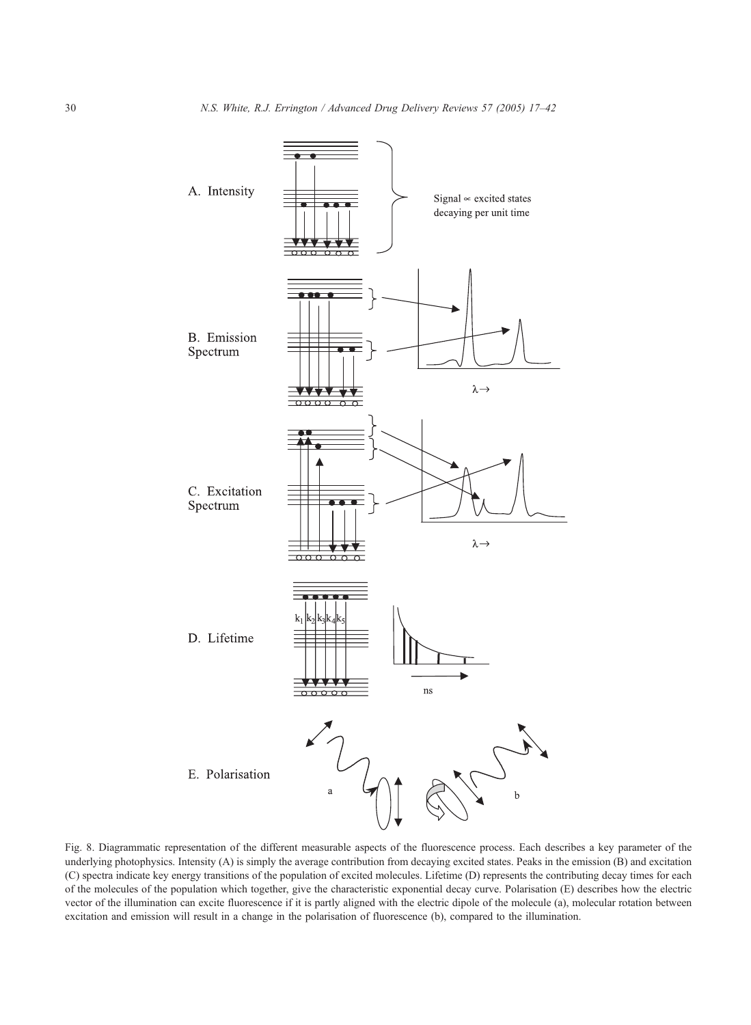<span id="page-13-0"></span>

Fig. 8. Diagrammatic representation of the different measurable aspects of the fluorescence process. Each describes a key parameter of the underlying photophysics. Intensity (A) is simply the average contribution from decaying excited states. Peaks in the emission (B) and excitation (C) spectra indicate key energy transitions of the population of excited molecules. Lifetime (D) represents the contributing decay times for each of the molecules of the population which together, give the characteristic exponential decay curve. Polarisation (E) describes how the electric vector of the illumination can excite fluorescence if it is partly aligned with the electric dipole of the molecule (a), molecular rotation between excitation and emission will result in a change in the polarisation of fluorescence (b), compared to the illumination.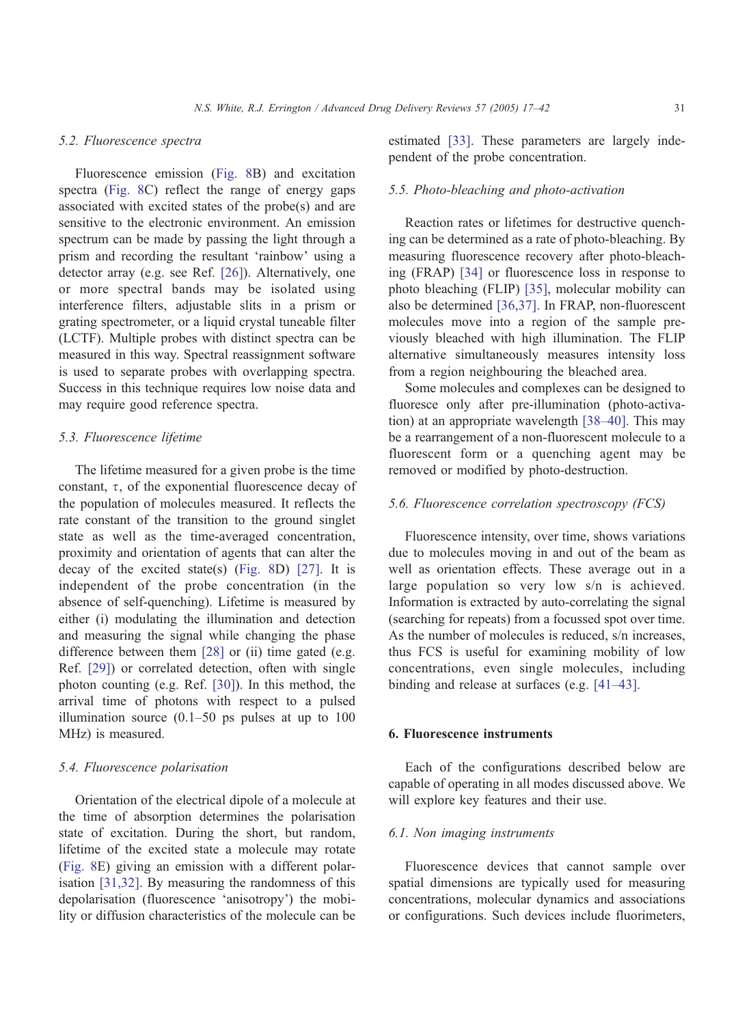#### 5.2. Fluorescence spectra

Fluorescence emission ([Fig. 8B](#page-13-0)) and excitation spectra ([Fig. 8C](#page-13-0)) reflect the range of energy gaps associated with excited states of the probe(s) and are sensitive to the electronic environment. An emission spectrum can be made by passing the light through a prism and recording the resultant 'rainbow' using a detector array (e.g. see Ref. [\[26\]\)](#page-24-0). Alternatively, one or more spectral bands may be isolated using interference filters, adjustable slits in a prism or grating spectrometer, or a liquid crystal tuneable filter (LCTF). Multiple probes with distinct spectra can be measured in this way. Spectral reassignment software is used to separate probes with overlapping spectra. Success in this technique requires low noise data and may require good reference spectra.

## 5.3. Fluorescence lifetime

The lifetime measured for a given probe is the time constant,  $\tau$ , of the exponential fluorescence decay of the population of molecules measured. It reflects the rate constant of the transition to the ground singlet state as well as the time-averaged concentration, proximity and orientation of agents that can alter the decay of the excited state(s) ([Fig. 8D](#page-13-0)) [\[27\].](#page-24-0) It is independent of the probe concentration (in the absence of self-quenching). Lifetime is measured by either (i) modulating the illumination and detection and measuring the signal while changing the phase difference between them [\[28\]](#page-24-0) or (ii) time gated (e.g. Ref. [\[29\]](#page-24-0)) or correlated detection, often with single photon counting (e.g. Ref. [\[30\]\)](#page-24-0). In this method, the arrival time of photons with respect to a pulsed illumination source  $(0.1–50$  ps pulses at up to  $100$ MHz) is measured.

#### 5.4. Fluorescence polarisation

Orientation of the electrical dipole of a molecule at the time of absorption determines the polarisation state of excitation. During the short, but random, lifetime of the excited state a molecule may rotate ([Fig. 8E](#page-13-0)) giving an emission with a different polarisation [\[31,32\].](#page-24-0) By measuring the randomness of this depolarisation (fluorescence 'anisotropy') the mobility or diffusion characteristics of the molecule can be estimated [\[33\].](#page-24-0) These parameters are largely independent of the probe concentration.

## 5.5. Photo-bleaching and photo-activation

Reaction rates or lifetimes for destructive quenching can be determined as a rate of photo-bleaching. By measuring fluorescence recovery after photo-bleaching (FRAP) [\[34\]](#page-24-0) or fluorescence loss in response to photo bleaching (FLIP) [\[35\],](#page-24-0) molecular mobility can also be determined [\[36,37\].](#page-24-0) In FRAP, non-fluorescent molecules move into a region of the sample previously bleached with high illumination. The FLIP alternative simultaneously measures intensity loss from a region neighbouring the bleached area.

Some molecules and complexes can be designed to fluoresce only after pre-illumination (photo-activation) at an appropriate wavelength [\[38–40\].](#page-24-0) This may be a rearrangement of a non-fluorescent molecule to a fluorescent form or a quenching agent may be removed or modified by photo-destruction.

## 5.6. Fluorescence correlation spectroscopy (FCS)

Fluorescence intensity, over time, shows variations due to molecules moving in and out of the beam as well as orientation effects. These average out in a large population so very low s/n is achieved. Information is extracted by auto-correlating the signal (searching for repeats) from a focussed spot over time. As the number of molecules is reduced, s/n increases, thus FCS is useful for examining mobility of low concentrations, even single molecules, including binding and release at surfaces (e.g. [\[41–43\].](#page-24-0)

#### 6. Fluorescence instruments

Each of the configurations described below are capable of operating in all modes discussed above. We will explore key features and their use.

#### 6.1. Non imaging instruments

Fluorescence devices that cannot sample over spatial dimensions are typically used for measuring concentrations, molecular dynamics and associations or configurations. Such devices include fluorimeters,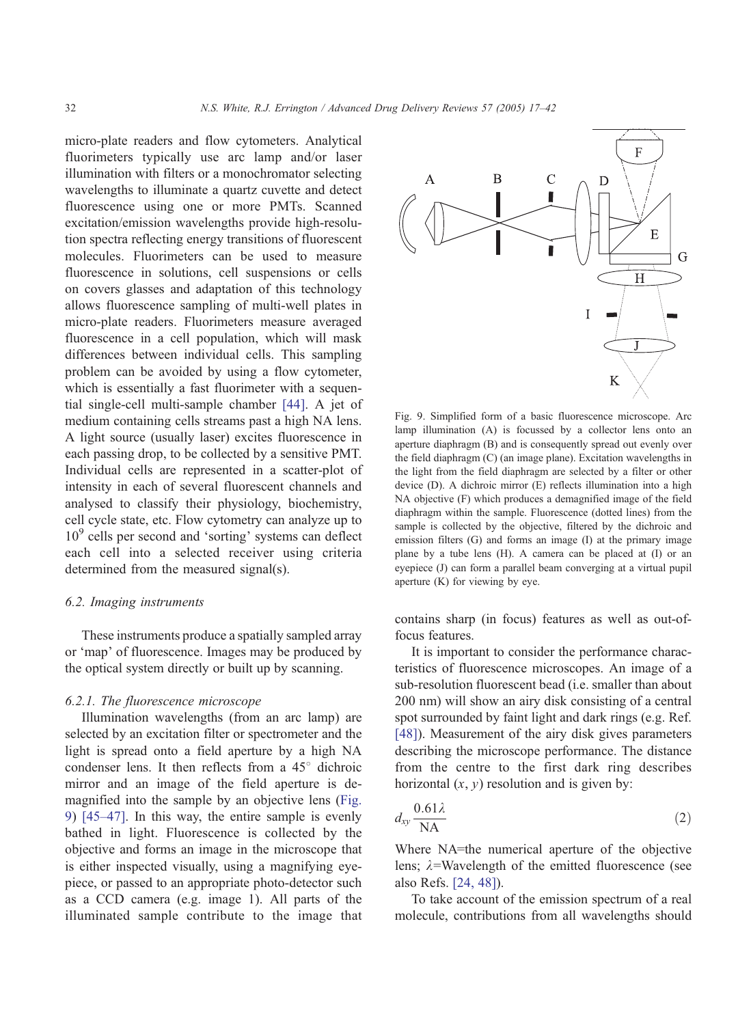micro-plate readers and flow cytometers. Analytical fluorimeters typically use arc lamp and/or laser illumination with filters or a monochromator selecting wavelengths to illuminate a quartz cuvette and detect fluorescence using one or more PMTs. Scanned excitation/emission wavelengths provide high-resolution spectra reflecting energy transitions of fluorescent molecules. Fluorimeters can be used to measure fluorescence in solutions, cell suspensions or cells on covers glasses and adaptation of this technology allows fluorescence sampling of multi-well plates in micro-plate readers. Fluorimeters measure averaged fluorescence in a cell population, which will mask differences between individual cells. This sampling problem can be avoided by using a flow cytometer, which is essentially a fast fluorimeter with a sequential single-cell multi-sample chamber [\[44\].](#page-24-0) A jet of medium containing cells streams past a high NA lens. A light source (usually laser) excites fluorescence in each passing drop, to be collected by a sensitive PMT. Individual cells are represented in a scatter-plot of intensity in each of several fluorescent channels and analysed to classify their physiology, biochemistry, cell cycle state, etc. Flow cytometry can analyze up to  $10<sup>9</sup>$  cells per second and 'sorting' systems can deflect each cell into a selected receiver using criteria determined from the measured signal(s).

#### 6.2. Imaging instruments

These instruments produce a spatially sampled array or 'map' of fluorescence. Images may be produced by the optical system directly or built up by scanning.

## 6.2.1. The fluorescence microscope

Illumination wavelengths (from an arc lamp) are selected by an excitation filter or spectrometer and the light is spread onto a field aperture by a high NA condenser lens. It then reflects from a  $45^\circ$  dichroic mirror and an image of the field aperture is demagnified into the sample by an objective lens (Fig. 9) [\[45–47\].](#page-24-0) In this way, the entire sample is evenly bathed in light. Fluorescence is collected by the objective and forms an image in the microscope that is either inspected visually, using a magnifying eyepiece, or passed to an appropriate photo-detector such as a CCD camera (e.g. image 1). All parts of the illuminated sample contribute to the image that



Fig. 9. Simplified form of a basic fluorescence microscope. Arc lamp illumination (A) is focussed by a collector lens onto an aperture diaphragm (B) and is consequently spread out evenly over the field diaphragm (C) (an image plane). Excitation wavelengths in the light from the field diaphragm are selected by a filter or other device (D). A dichroic mirror (E) reflects illumination into a high NA objective (F) which produces a demagnified image of the field diaphragm within the sample. Fluorescence (dotted lines) from the sample is collected by the objective, filtered by the dichroic and emission filters (G) and forms an image (I) at the primary image plane by a tube lens (H). A camera can be placed at (I) or an eyepiece (J) can form a parallel beam converging at a virtual pupil aperture (K) for viewing by eye.

contains sharp (in focus) features as well as out-offocus features.

It is important to consider the performance characteristics of fluorescence microscopes. An image of a sub-resolution fluorescent bead (i.e. smaller than about 200 nm) will show an airy disk consisting of a central spot surrounded by faint light and dark rings (e.g. Ref. [\[48\]\)](#page-24-0). Measurement of the airy disk gives parameters describing the microscope performance. The distance from the centre to the first dark ring describes horizontal  $(x, y)$  resolution and is given by:

$$
d_{xy} \frac{0.61\lambda}{\mathrm{NA}} \tag{2}
$$

Where NA=the numerical aperture of the objective lens;  $\lambda$ =Wavelength of the emitted fluorescence (see also Refs. [\[24, 48\]\)](#page-24-0).

To take account of the emission spectrum of a real molecule, contributions from all wavelengths should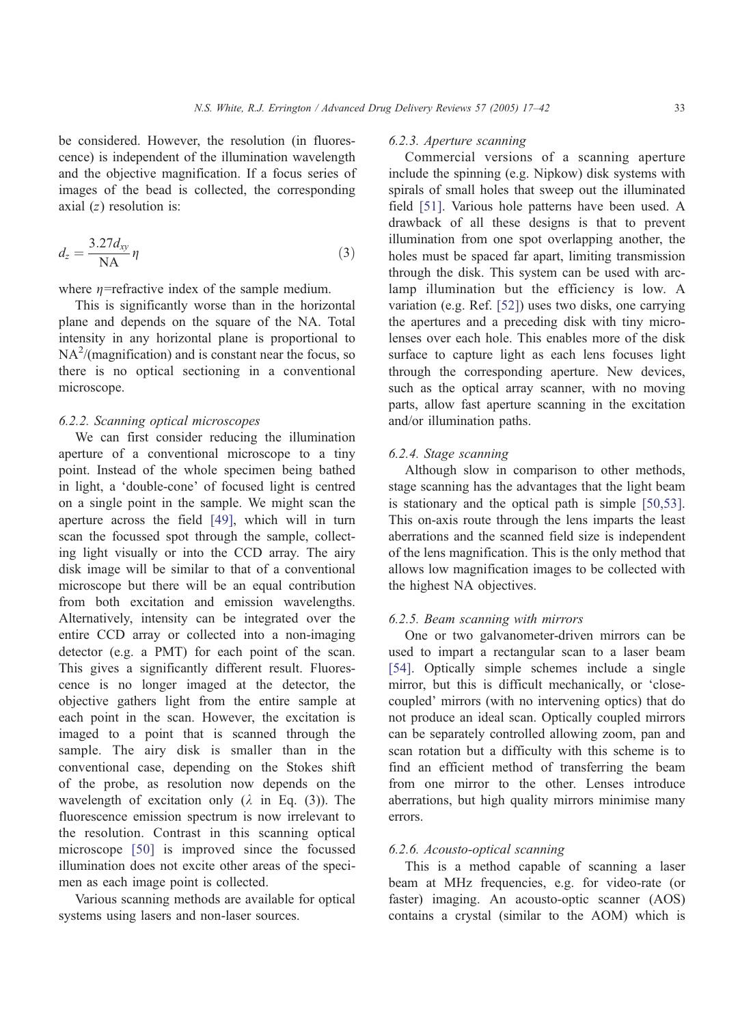be considered. However, the resolution (in fluorescence) is independent of the illumination wavelength and the objective magnification. If a focus series of images of the bead is collected, the corresponding axial  $(z)$  resolution is:

$$
d_z = \frac{3.27d_{xy}}{NA} \eta \tag{3}
$$

where  $\eta$ =refractive index of the sample medium.

This is significantly worse than in the horizontal plane and depends on the square of the NA. Total intensity in any horizontal plane is proportional to  $NA<sup>2</sup>$ /(magnification) and is constant near the focus, so there is no optical sectioning in a conventional microscope.

## 6.2.2. Scanning optical microscopes

We can first consider reducing the illumination aperture of a conventional microscope to a tiny point. Instead of the whole specimen being bathed in light, a 'double-cone' of focused light is centred on a single point in the sample. We might scan the aperture across the field [\[49\],](#page-24-0) which will in turn scan the focussed spot through the sample, collecting light visually or into the CCD array. The airy disk image will be similar to that of a conventional microscope but there will be an equal contribution from both excitation and emission wavelengths. Alternatively, intensity can be integrated over the entire CCD array or collected into a non-imaging detector (e.g. a PMT) for each point of the scan. This gives a significantly different result. Fluorescence is no longer imaged at the detector, the objective gathers light from the entire sample at each point in the scan. However, the excitation is imaged to a point that is scanned through the sample. The airy disk is smaller than in the conventional case, depending on the Stokes shift of the probe, as resolution now depends on the wavelength of excitation only  $(\lambda$  in Eq. (3)). The fluorescence emission spectrum is now irrelevant to the resolution. Contrast in this scanning optical microscope [\[50\]](#page-24-0) is improved since the focussed illumination does not excite other areas of the specimen as each image point is collected.

Various scanning methods are available for optical systems using lasers and non-laser sources.

# 6.2.3. Aperture scanning

Commercial versions of a scanning aperture include the spinning (e.g. Nipkow) disk systems with spirals of small holes that sweep out the illuminated field [\[51\].](#page-24-0) Various hole patterns have been used. A drawback of all these designs is that to prevent illumination from one spot overlapping another, the holes must be spaced far apart, limiting transmission through the disk. This system can be used with arclamp illumination but the efficiency is low. A variation (e.g. Ref. [\[52\]\)](#page-24-0) uses two disks, one carrying the apertures and a preceding disk with tiny microlenses over each hole. This enables more of the disk surface to capture light as each lens focuses light through the corresponding aperture. New devices, such as the optical array scanner, with no moving parts, allow fast aperture scanning in the excitation and/or illumination paths.

## 6.2.4. Stage scanning

Although slow in comparison to other methods, stage scanning has the advantages that the light beam is stationary and the optical path is simple [\[50,53\].](#page-24-0) This on-axis route through the lens imparts the least aberrations and the scanned field size is independent of the lens magnification. This is the only method that allows low magnification images to be collected with the highest NA objectives.

# 6.2.5. Beam scanning with mirrors

One or two galvanometer-driven mirrors can be used to impart a rectangular scan to a laser beam [\[54\].](#page-25-0) Optically simple schemes include a single mirror, but this is difficult mechanically, or 'closecoupled' mirrors (with no intervening optics) that do not produce an ideal scan. Optically coupled mirrors can be separately controlled allowing zoom, pan and scan rotation but a difficulty with this scheme is to find an efficient method of transferring the beam from one mirror to the other. Lenses introduce aberrations, but high quality mirrors minimise many errors.

## 6.2.6. Acousto-optical scanning

This is a method capable of scanning a laser beam at MHz frequencies, e.g. for video-rate (or faster) imaging. An acousto-optic scanner (AOS) contains a crystal (similar to the AOM) which is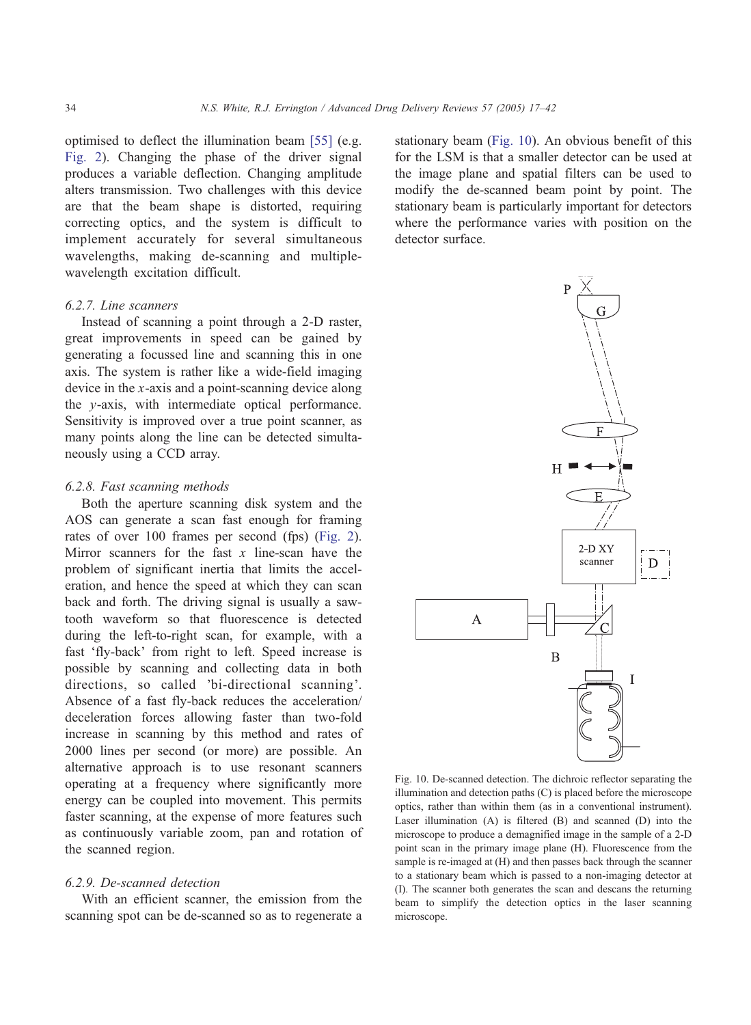optimised to deflect the illumination beam [\[55\]](#page-25-0) (e.g. [Fig. 2\)](#page-3-0). Changing the phase of the driver signal produces a variable deflection. Changing amplitude alters transmission. Two challenges with this device are that the beam shape is distorted, requiring correcting optics, and the system is difficult to implement accurately for several simultaneous wavelengths, making de-scanning and multiplewavelength excitation difficult.

#### 6.2.7. Line scanners

Instead of scanning a point through a 2-D raster, great improvements in speed can be gained by generating a focussed line and scanning this in one axis. The system is rather like a wide-field imaging device in the x-axis and a point-scanning device along the y-axis, with intermediate optical performance. Sensitivity is improved over a true point scanner, as many points along the line can be detected simultaneously using a CCD array.

## 6.2.8. Fast scanning methods

Both the aperture scanning disk system and the AOS can generate a scan fast enough for framing rates of over 100 frames per second (fps) ([Fig. 2\)](#page-3-0). Mirror scanners for the fast  $x$  line-scan have the problem of significant inertia that limits the acceleration, and hence the speed at which they can scan back and forth. The driving signal is usually a sawtooth waveform so that fluorescence is detected during the left-to-right scan, for example, with a fast 'fly-back' from right to left. Speed increase is possible by scanning and collecting data in both directions, so called 'bi-directional scanning'. Absence of a fast fly-back reduces the acceleration/ deceleration forces allowing faster than two-fold increase in scanning by this method and rates of 2000 lines per second (or more) are possible. An alternative approach is to use resonant scanners operating at a frequency where significantly more energy can be coupled into movement. This permits faster scanning, at the expense of more features such as continuously variable zoom, pan and rotation of the scanned region.

## 6.2.9. De-scanned detection

With an efficient scanner, the emission from the scanning spot can be de-scanned so as to regenerate a stationary beam (Fig. 10). An obvious benefit of this for the LSM is that a smaller detector can be used at the image plane and spatial filters can be used to modify the de-scanned beam point by point. The stationary beam is particularly important for detectors where the performance varies with position on the detector surface.



Fig. 10. De-scanned detection. The dichroic reflector separating the illumination and detection paths (C) is placed before the microscope optics, rather than within them (as in a conventional instrument). Laser illumination (A) is filtered (B) and scanned (D) into the microscope to produce a demagnified image in the sample of a 2-D point scan in the primary image plane (H). Fluorescence from the sample is re-imaged at (H) and then passes back through the scanner to a stationary beam which is passed to a non-imaging detector at (I). The scanner both generates the scan and descans the returning beam to simplify the detection optics in the laser scanning microscope.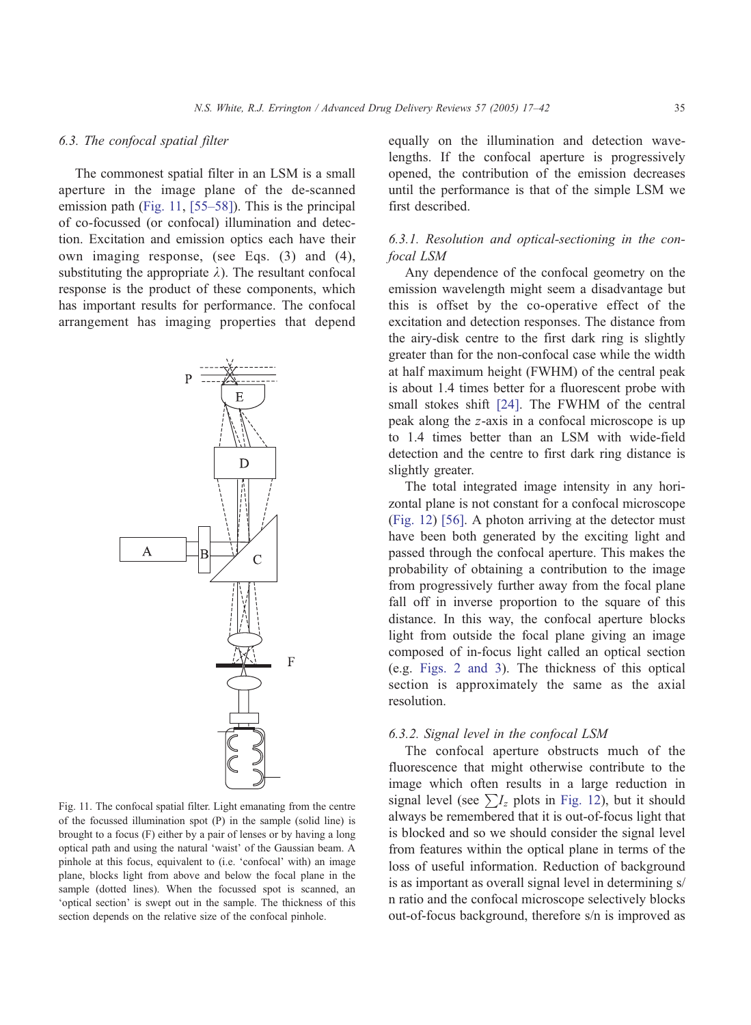## 6.3. The confocal spatial filter

The commonest spatial filter in an LSM is a small aperture in the image plane of the de-scanned emission path (Fig. 11, [\[55–58\]\)](#page-25-0). This is the principal of co-focussed (or confocal) illumination and detection. Excitation and emission optics each have their own imaging response, (see Eqs. (3) and (4), substituting the appropriate  $\lambda$ ). The resultant confocal response is the product of these components, which has important results for performance. The confocal arrangement has imaging properties that depend



Fig. 11. The confocal spatial filter. Light emanating from the centre of the focussed illumination spot (P) in the sample (solid line) is brought to a focus (F) either by a pair of lenses or by having a long optical path and using the natural 'waist' of the Gaussian beam. A pinhole at this focus, equivalent to (i.e. 'confocal' with) an image plane, blocks light from above and below the focal plane in the sample (dotted lines). When the focussed spot is scanned, an 'optical section' is swept out in the sample. The thickness of this section depends on the relative size of the confocal pinhole.

equally on the illumination and detection wavelengths. If the confocal aperture is progressively opened, the contribution of the emission decreases until the performance is that of the simple LSM we first described.

# 6.3.1. Resolution and optical-sectioning in the confocal LSM

Any dependence of the confocal geometry on the emission wavelength might seem a disadvantage but this is offset by the co-operative effect of the excitation and detection responses. The distance from the airy-disk centre to the first dark ring is slightly greater than for the non-confocal case while the width at half maximum height (FWHM) of the central peak is about 1.4 times better for a fluorescent probe with small stokes shift [\[24\].](#page-24-0) The FWHM of the central peak along the z-axis in a confocal microscope is up to 1.4 times better than an LSM with wide-field detection and the centre to first dark ring distance is slightly greater.

The total integrated image intensity in any horizontal plane is not constant for a confocal microscope ([Fig. 12\)](#page-19-0) [\[56\].](#page-25-0) A photon arriving at the detector must have been both generated by the exciting light and passed through the confocal aperture. This makes the probability of obtaining a contribution to the image from progressively further away from the focal plane fall off in inverse proportion to the square of this distance. In this way, the confocal aperture blocks light from outside the focal plane giving an image composed of in-focus light called an optical section (e.g. [Figs. 2 and 3\)](#page-3-0). The thickness of this optical section is approximately the same as the axial resolution.

#### 6.3.2. Signal level in the confocal LSM

The confocal aperture obstructs much of the fluorescence that might otherwise contribute to the image which often results in a large reduction in signal level (see  $\sum I_z$  plots in [Fig. 12\)](#page-19-0), but it should always be remembered that it is out-of-focus light that is blocked and so we should consider the signal level from features within the optical plane in terms of the loss of useful information. Reduction of background is as important as overall signal level in determining s/ n ratio and the confocal microscope selectively blocks out-of-focus background, therefore s/n is improved as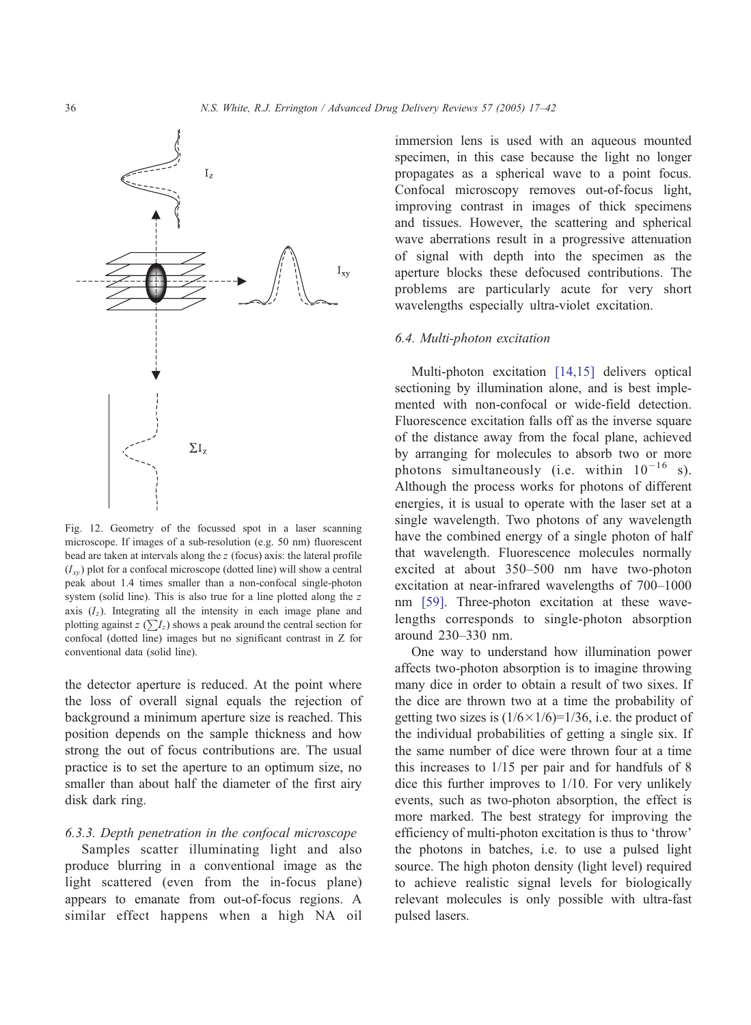<span id="page-19-0"></span>

Fig. 12. Geometry of the focussed spot in a laser scanning microscope. If images of a sub-resolution (e.g. 50 nm) fluorescent bead are taken at intervals along the z (focus) axis: the lateral profile  $(I_{xy})$  plot for a confocal microscope (dotted line) will show a central peak about 1.4 times smaller than a non-confocal single-photon system (solid line). This is also true for a line plotted along the z axis  $(I_z)$ . Integrating all the intensity in each image plane and plotting against  $z(\sum I_z)$  shows a peak around the central section for confocal (dotted line) images but no significant contrast in Z for conventional data (solid line).

the detector aperture is reduced. At the point where the loss of overall signal equals the rejection of background a minimum aperture size is reached. This position depends on the sample thickness and how strong the out of focus contributions are. The usual practice is to set the aperture to an optimum size, no smaller than about half the diameter of the first airy disk dark ring.

#### 6.3.3. Depth penetration in the confocal microscope

Samples scatter illuminating light and also produce blurring in a conventional image as the light scattered (even from the in-focus plane) appears to emanate from out-of-focus regions. A similar effect happens when a high NA oil immersion lens is used with an aqueous mounted specimen, in this case because the light no longer propagates as a spherical wave to a point focus. Confocal microscopy removes out-of-focus light, improving contrast in images of thick specimens and tissues. However, the scattering and spherical wave aberrations result in a progressive attenuation of signal with depth into the specimen as the aperture blocks these defocused contributions. The problems are particularly acute for very short wavelengths especially ultra-violet excitation.

#### 6.4. Multi-photon excitation

Multi-photon excitation [\[14,15\]](#page-23-0) delivers optical sectioning by illumination alone, and is best implemented with non-confocal or wide-field detection. Fluorescence excitation falls off as the inverse square of the distance away from the focal plane, achieved by arranging for molecules to absorb two or more photons simultaneously (i.e. within  $10^{-16}$  s). Although the process works for photons of different energies, it is usual to operate with the laser set at a single wavelength. Two photons of any wavelength have the combined energy of a single photon of half that wavelength. Fluorescence molecules normally excited at about 350–500 nm have two-photon excitation at near-infrared wavelengths of 700–1000 nm [\[59\].](#page-25-0) Three-photon excitation at these wavelengths corresponds to single-photon absorption around 230–330 nm.

One way to understand how illumination power affects two-photon absorption is to imagine throwing many dice in order to obtain a result of two sixes. If the dice are thrown two at a time the probability of getting two sizes is  $(1/6 \times 1/6)=1/36$ , i.e. the product of the individual probabilities of getting a single six. If the same number of dice were thrown four at a time this increases to 1/15 per pair and for handfuls of 8 dice this further improves to 1/10. For very unlikely events, such as two-photon absorption, the effect is more marked. The best strategy for improving the efficiency of multi-photon excitation is thus to 'throw' the photons in batches, i.e. to use a pulsed light source. The high photon density (light level) required to achieve realistic signal levels for biologically relevant molecules is only possible with ultra-fast pulsed lasers.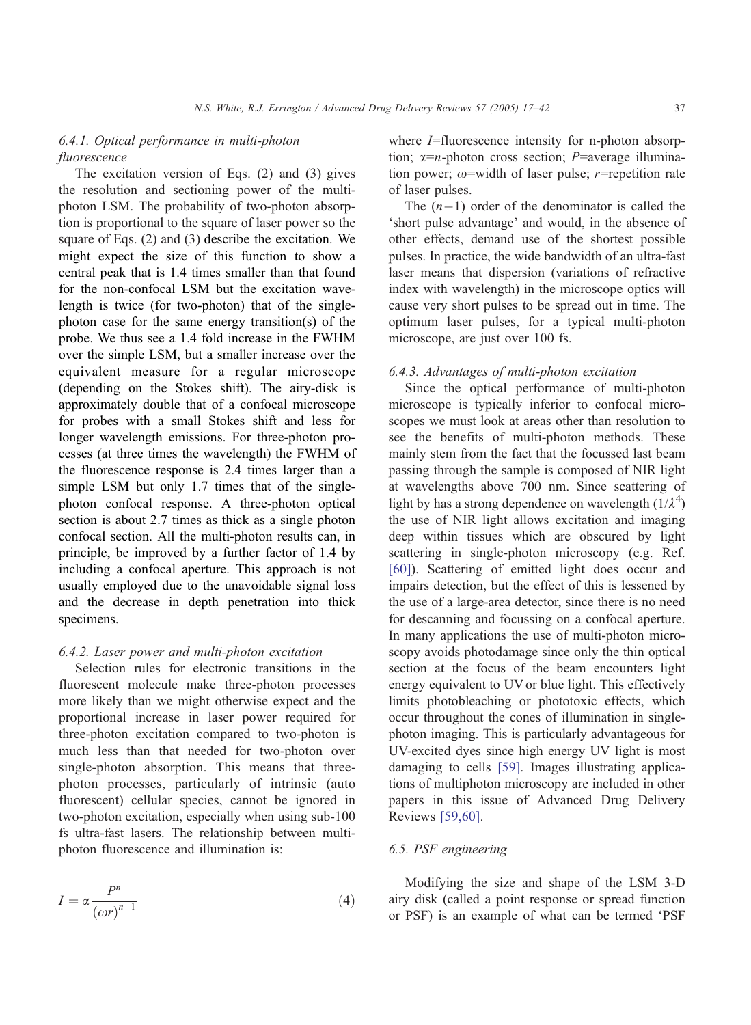# 6.4.1. Optical performance in multi-photon fluorescence

The excitation version of Eqs. (2) and (3) gives the resolution and sectioning power of the multiphoton LSM. The probability of two-photon absorption is proportional to the square of laser power so the square of Eqs. (2) and (3) describe the excitation. We might expect the size of this function to show a central peak that is 1.4 times smaller than that found for the non-confocal LSM but the excitation wavelength is twice (for two-photon) that of the singlephoton case for the same energy transition(s) of the probe. We thus see a 1.4 fold increase in the FWHM over the simple LSM, but a smaller increase over the equivalent measure for a regular microscope (depending on the Stokes shift). The airy-disk is approximately double that of a confocal microscope for probes with a small Stokes shift and less for longer wavelength emissions. For three-photon processes (at three times the wavelength) the FWHM of the fluorescence response is 2.4 times larger than a simple LSM but only 1.7 times that of the singlephoton confocal response. A three-photon optical section is about 2.7 times as thick as a single photon confocal section. All the multi-photon results can, in principle, be improved by a further factor of 1.4 by including a confocal aperture. This approach is not usually employed due to the unavoidable signal loss and the decrease in depth penetration into thick specimens.

#### 6.4.2. Laser power and multi-photon excitation

Selection rules for electronic transitions in the fluorescent molecule make three-photon processes more likely than we might otherwise expect and the proportional increase in laser power required for three-photon excitation compared to two-photon is much less than that needed for two-photon over single-photon absorption. This means that threephoton processes, particularly of intrinsic (auto fluorescent) cellular species, cannot be ignored in two-photon excitation, especially when using sub-100 fs ultra-fast lasers. The relationship between multiphoton fluorescence and illumination is:

$$
I = \alpha \frac{P^n}{\left(\omega r\right)^{n-1}}\tag{4}
$$

where *I*=fluorescence intensity for n-photon absorption;  $\alpha = n$ -photon cross section; P=average illumination power;  $\omega$ =width of laser pulse; r=repetition rate of laser pulses.

The  $(n-1)$  order of the denominator is called the 'short pulse advantage' and would, in the absence of other effects, demand use of the shortest possible pulses. In practice, the wide bandwidth of an ultra-fast laser means that dispersion (variations of refractive index with wavelength) in the microscope optics will cause very short pulses to be spread out in time. The optimum laser pulses, for a typical multi-photon microscope, are just over 100 fs.

## 6.4.3. Advantages of multi-photon excitation

Since the optical performance of multi-photon microscope is typically inferior to confocal microscopes we must look at areas other than resolution to see the benefits of multi-photon methods. These mainly stem from the fact that the focussed last beam passing through the sample is composed of NIR light at wavelengths above 700 nm. Since scattering of light by has a strong dependence on wavelength  $(1/\lambda^4)$ the use of NIR light allows excitation and imaging deep within tissues which are obscured by light scattering in single-photon microscopy (e.g. Ref. [\[60\]\)](#page-25-0). Scattering of emitted light does occur and impairs detection, but the effect of this is lessened by the use of a large-area detector, since there is no need for descanning and focussing on a confocal aperture. In many applications the use of multi-photon microscopy avoids photodamage since only the thin optical section at the focus of the beam encounters light energy equivalent to UV or blue light. This effectively limits photobleaching or phototoxic effects, which occur throughout the cones of illumination in singlephoton imaging. This is particularly advantageous for UV-excited dyes since high energy UV light is most damaging to cells [\[59\].](#page-25-0) Images illustrating applications of multiphoton microscopy are included in other papers in this issue of Advanced Drug Delivery Reviews [\[59,60\].](#page-25-0)

## 6.5. PSF engineering

Modifying the size and shape of the LSM 3-D airy disk (called a point response or spread function or PSF) is an example of what can be termed 'PSF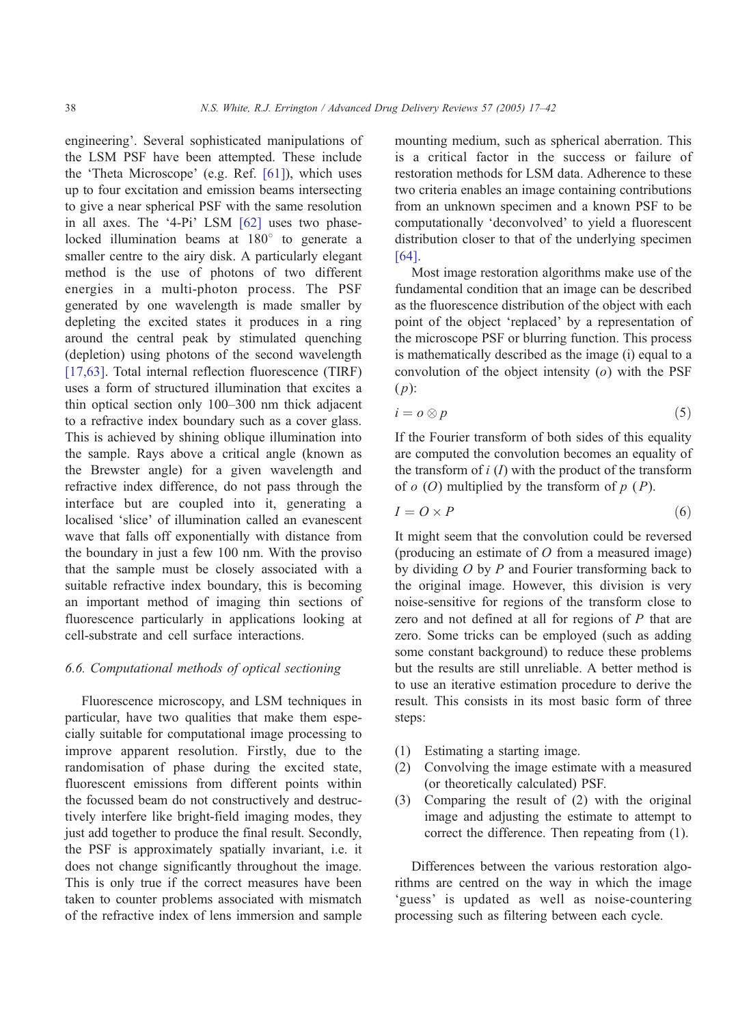engineering'. Several sophisticated manipulations of the LSM PSF have been attempted. These include the 'Theta Microscope' (e.g. Ref.  $[61]$ ), which uses up to four excitation and emission beams intersecting to give a near spherical PSF with the same resolution in all axes. The '4-Pi' LSM  $[62]$  uses two phaselocked illumination beams at  $180^\circ$  to generate a smaller centre to the airy disk. A particularly elegant method is the use of photons of two different energies in a multi-photon process. The PSF generated by one wavelength is made smaller by depleting the excited states it produces in a ring around the central peak by stimulated quenching (depletion) using photons of the second wavelength [\[17,63\]](#page-24-0). Total internal reflection fluorescence (TIRF) uses a form of structured illumination that excites a thin optical section only 100–300 nm thick adjacent to a refractive index boundary such as a cover glass. This is achieved by shining oblique illumination into the sample. Rays above a critical angle (known as the Brewster angle) for a given wavelength and refractive index difference, do not pass through the interface but are coupled into it, generating a localised 'slice' of illumination called an evanescent wave that falls off exponentially with distance from the boundary in just a few 100 nm. With the proviso that the sample must be closely associated with a suitable refractive index boundary, this is becoming an important method of imaging thin sections of fluorescence particularly in applications looking at cell-substrate and cell surface interactions.

## 6.6. Computational methods of optical sectioning

Fluorescence microscopy, and LSM techniques in particular, have two qualities that make them especially suitable for computational image processing to improve apparent resolution. Firstly, due to the randomisation of phase during the excited state, fluorescent emissions from different points within the focussed beam do not constructively and destructively interfere like bright-field imaging modes, they just add together to produce the final result. Secondly, the PSF is approximately spatially invariant, i.e. it does not change significantly throughout the image. This is only true if the correct measures have been taken to counter problems associated with mismatch of the refractive index of lens immersion and sample mounting medium, such as spherical aberration. This is a critical factor in the success or failure of restoration methods for LSM data. Adherence to these two criteria enables an image containing contributions from an unknown specimen and a known PSF to be computationally 'deconvolved' to yield a fluorescent distribution closer to that of the underlying specimen [\[64\].](#page-25-0)

Most image restoration algorithms make use of the fundamental condition that an image can be described as the fluorescence distribution of the object with each point of the object 'replaced' by a representation of the microscope PSF or blurring function. This process is mathematically described as the image (i) equal to a convolution of the object intensity  $(o)$  with the PSF  $(p)$ :

$$
i = o \otimes p \tag{5}
$$

If the Fourier transform of both sides of this equality are computed the convolution becomes an equality of the transform of  $i(I)$  with the product of the transform of  $o$  (O) multiplied by the transform of  $p$  (P).

$$
I = O \times P \tag{6}
$$

It might seem that the convolution could be reversed (producing an estimate of  $O$  from a measured image) by dividing  $O$  by  $P$  and Fourier transforming back to the original image. However, this division is very noise-sensitive for regions of the transform close to zero and not defined at all for regions of  $P$  that are zero. Some tricks can be employed (such as adding some constant background) to reduce these problems but the results are still unreliable. A better method is to use an iterative estimation procedure to derive the result. This consists in its most basic form of three steps:

- (1) Estimating a starting image.
- (2) Convolving the image estimate with a measured (or theoretically calculated) PSF.
- (3) Comparing the result of (2) with the original image and adjusting the estimate to attempt to correct the difference. Then repeating from (1).

Differences between the various restoration algorithms are centred on the way in which the image 'guess' is updated as well as noise-countering processing such as filtering between each cycle.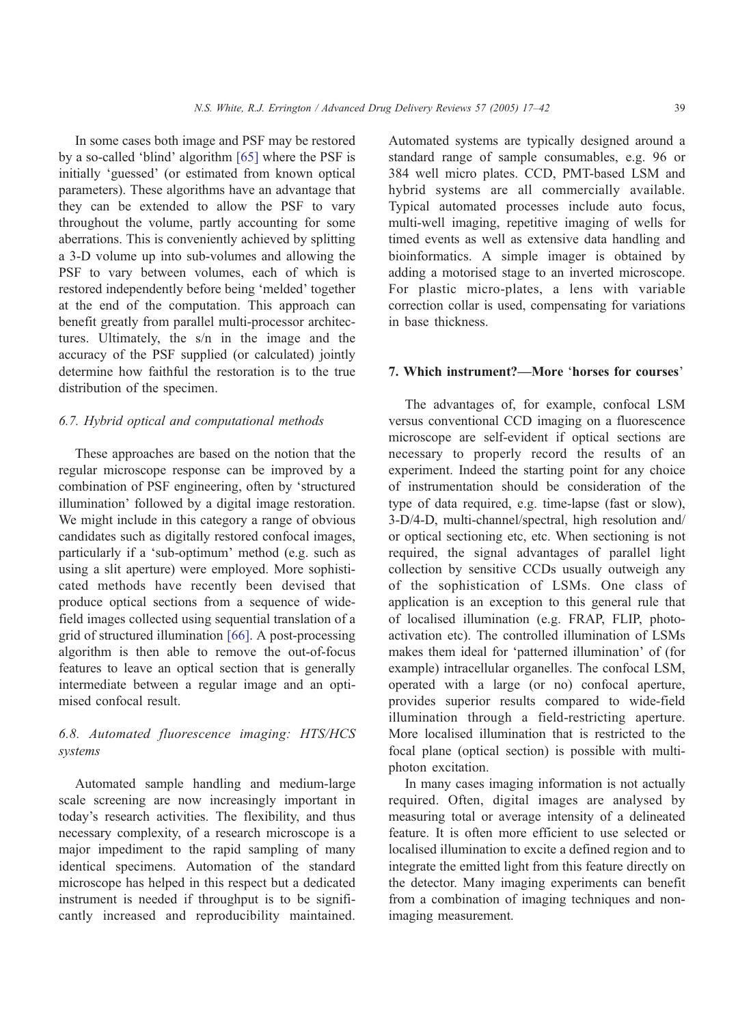In some cases both image and PSF may be restored by a so-called 'blind' algorithm  $[65]$  where the PSF is initially 'guessed' (or estimated from known optical parameters). These algorithms have an advantage that they can be extended to allow the PSF to vary throughout the volume, partly accounting for some aberrations. This is conveniently achieved by splitting a 3-D volume up into sub-volumes and allowing the PSF to vary between volumes, each of which is restored independently before being 'melded' together at the end of the computation. This approach can benefit greatly from parallel multi-processor architectures. Ultimately, the s/n in the image and the accuracy of the PSF supplied (or calculated) jointly determine how faithful the restoration is to the true distribution of the specimen.

## 6.7. Hybrid optical and computational methods

These approaches are based on the notion that the regular microscope response can be improved by a combination of PSF engineering, often by 'structured illumination' followed by a digital image restoration. We might include in this category a range of obvious candidates such as digitally restored confocal images, particularly if a 'sub-optimum' method (e.g. such as using a slit aperture) were employed. More sophisticated methods have recently been devised that produce optical sections from a sequence of widefield images collected using sequential translation of a grid of structured illumination [\[66\].](#page-25-0) A post-processing algorithm is then able to remove the out-of-focus features to leave an optical section that is generally intermediate between a regular image and an optimised confocal result.

# 6.8. Automated fluorescence imaging: HTS/HCS systems

Automated sample handling and medium-large scale screening are now increasingly important in today's research activities. The flexibility, and thus necessary complexity, of a research microscope is a major impediment to the rapid sampling of many identical specimens. Automation of the standard microscope has helped in this respect but a dedicated instrument is needed if throughput is to be significantly increased and reproducibility maintained. Automated systems are typically designed around a standard range of sample consumables, e.g. 96 or 384 well micro plates. CCD, PMT-based LSM and hybrid systems are all commercially available. Typical automated processes include auto focus, multi-well imaging, repetitive imaging of wells for timed events as well as extensive data handling and bioinformatics. A simple imager is obtained by adding a motorised stage to an inverted microscope. For plastic micro-plates, a lens with variable correction collar is used, compensating for variations in base thickness.

# 7. Which instrument?—More 'horses for courses'

The advantages of, for example, confocal LSM versus conventional CCD imaging on a fluorescence microscope are self-evident if optical sections are necessary to properly record the results of an experiment. Indeed the starting point for any choice of instrumentation should be consideration of the type of data required, e.g. time-lapse (fast or slow), 3-D/4-D, multi-channel/spectral, high resolution and/ or optical sectioning etc, etc. When sectioning is not required, the signal advantages of parallel light collection by sensitive CCDs usually outweigh any of the sophistication of LSMs. One class of application is an exception to this general rule that of localised illumination (e.g. FRAP, FLIP, photoactivation etc). The controlled illumination of LSMs makes them ideal for 'patterned illumination' of (for example) intracellular organelles. The confocal LSM, operated with a large (or no) confocal aperture, provides superior results compared to wide-field illumination through a field-restricting aperture. More localised illumination that is restricted to the focal plane (optical section) is possible with multiphoton excitation.

In many cases imaging information is not actually required. Often, digital images are analysed by measuring total or average intensity of a delineated feature. It is often more efficient to use selected or localised illumination to excite a defined region and to integrate the emitted light from this feature directly on the detector. Many imaging experiments can benefit from a combination of imaging techniques and nonimaging measurement.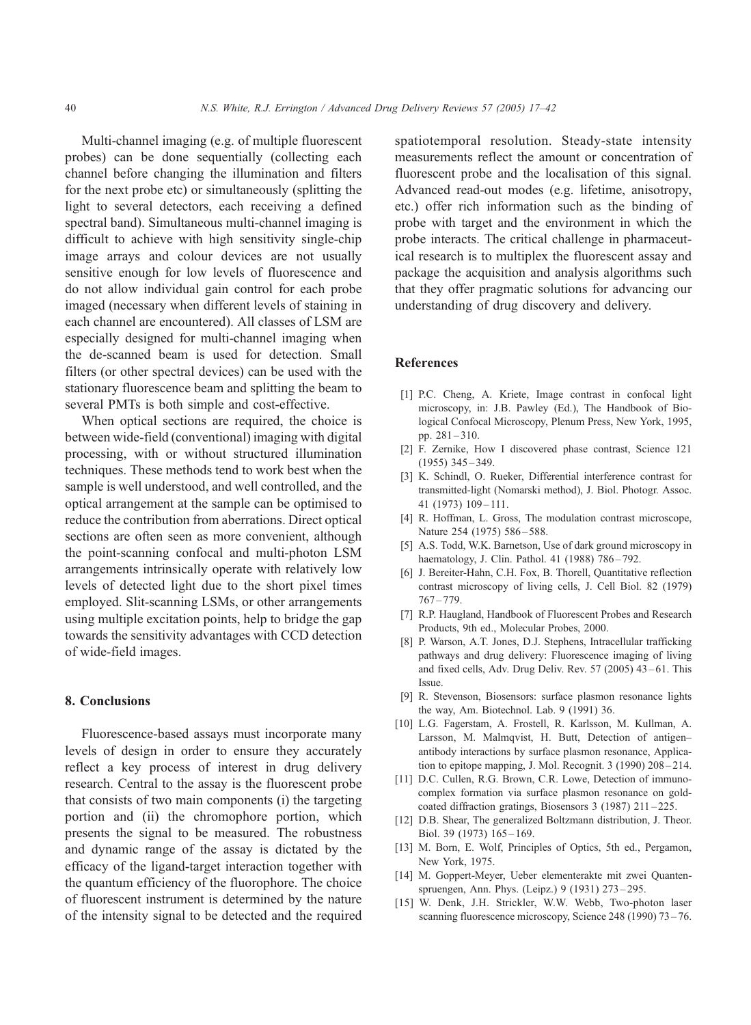<span id="page-23-0"></span>Multi-channel imaging (e.g. of multiple fluorescent probes) can be done sequentially (collecting each channel before changing the illumination and filters for the next probe etc) or simultaneously (splitting the light to several detectors, each receiving a defined spectral band). Simultaneous multi-channel imaging is difficult to achieve with high sensitivity single-chip image arrays and colour devices are not usually sensitive enough for low levels of fluorescence and do not allow individual gain control for each probe imaged (necessary when different levels of staining in each channel are encountered). All classes of LSM are especially designed for multi-channel imaging when the de-scanned beam is used for detection. Small filters (or other spectral devices) can be used with the stationary fluorescence beam and splitting the beam to several PMTs is both simple and cost-effective.

When optical sections are required, the choice is between wide-field (conventional) imaging with digital processing, with or without structured illumination techniques. These methods tend to work best when the sample is well understood, and well controlled, and the optical arrangement at the sample can be optimised to reduce the contribution from aberrations. Direct optical sections are often seen as more convenient, although the point-scanning confocal and multi-photon LSM arrangements intrinsically operate with relatively low levels of detected light due to the short pixel times employed. Slit-scanning LSMs, or other arrangements using multiple excitation points, help to bridge the gap towards the sensitivity advantages with CCD detection of wide-field images.

## 8. Conclusions

Fluorescence-based assays must incorporate many levels of design in order to ensure they accurately reflect a key process of interest in drug delivery research. Central to the assay is the fluorescent probe that consists of two main components (i) the targeting portion and (ii) the chromophore portion, which presents the signal to be measured. The robustness and dynamic range of the assay is dictated by the efficacy of the ligand-target interaction together with the quantum efficiency of the fluorophore. The choice of fluorescent instrument is determined by the nature of the intensity signal to be detected and the required spatiotemporal resolution. Steady-state intensity measurements reflect the amount or concentration of fluorescent probe and the localisation of this signal. Advanced read-out modes (e.g. lifetime, anisotropy, etc.) offer rich information such as the binding of probe with target and the environment in which the probe interacts. The critical challenge in pharmaceutical research is to multiplex the fluorescent assay and package the acquisition and analysis algorithms such that they offer pragmatic solutions for advancing our understanding of drug discovery and delivery.

## References

- [1] P.C. Cheng, A. Kriete, Image contrast in confocal light microscopy, in: J.B. Pawley (Ed.), The Handbook of Biological Confocal Microscopy, Plenum Press, New York, 1995, pp. 281 – 310.
- [2] F. Zernike, How I discovered phase contrast, Science 121 (1955) 345 – 349.
- [3] K. Schindl, O. Rueker, Differential interference contrast for transmitted-light (Nomarski method), J. Biol. Photogr. Assoc. 41 (1973) 109 – 111.
- [4] R. Hoffman, L. Gross, The modulation contrast microscope, Nature 254 (1975) 586-588.
- [5] A.S. Todd, W.K. Barnetson, Use of dark ground microscopy in haematology, J. Clin. Pathol. 41 (1988) 786-792.
- [6] J. Bereiter-Hahn, C.H. Fox, B. Thorell, Quantitative reflection contrast microscopy of living cells, J. Cell Biol. 82 (1979) 767 – 779.
- [7] R.P. Haugland, Handbook of Fluorescent Probes and Research Products, 9th ed., Molecular Probes, 2000.
- [8] P. Warson, A.T. Jones, D.J. Stephens, Intracellular trafficking pathways and drug delivery: Fluorescence imaging of living and fixed cells, Adv. Drug Deliv. Rev. 57 (2005) 43-61. This Issue.
- [9] R. Stevenson, Biosensors: surface plasmon resonance lights the way, Am. Biotechnol. Lab. 9 (1991) 36.
- [10] L.G. Fagerstam, A. Frostell, R. Karlsson, M. Kullman, A. Larsson, M. Malmqvist, H. Butt, Detection of antigen– antibody interactions by surface plasmon resonance, Application to epitope mapping, J. Mol. Recognit. 3 (1990) 208 – 214.
- [11] D.C. Cullen, R.G. Brown, C.R. Lowe, Detection of immunocomplex formation via surface plasmon resonance on goldcoated diffraction gratings, Biosensors 3 (1987) 211 – 225.
- [12] D.B. Shear, The generalized Boltzmann distribution, J. Theor. Biol. 39 (1973) 165 – 169.
- [13] M. Born, E. Wolf, Principles of Optics, 5th ed., Pergamon, New York, 1975.
- [14] M. Goppert-Meyer, Ueber elementerakte mit zwei Quantenspruengen, Ann. Phys. (Leipz.) 9 (1931) 273 – 295.
- [15] W. Denk, J.H. Strickler, W.W. Webb, Two-photon laser scanning fluorescence microscopy, Science 248 (1990) 73 – 76.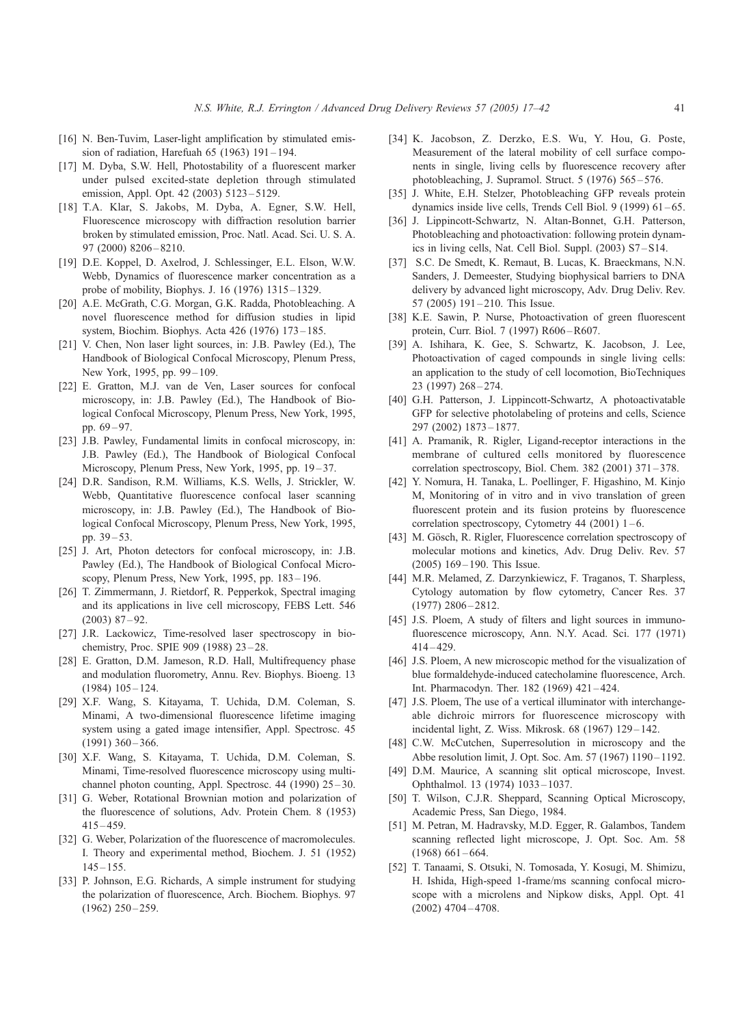- <span id="page-24-0"></span>[16] N. Ben-Tuvim, Laser-light amplification by stimulated emission of radiation, Harefuah 65 (1963) 191 – 194.
- [17] M. Dyba, S.W. Hell, Photostability of a fluorescent marker under pulsed excited-state depletion through stimulated emission, Appl. Opt. 42 (2003) 5123 – 5129.
- [18] T.A. Klar, S. Jakobs, M. Dyba, A. Egner, S.W. Hell, Fluorescence microscopy with diffraction resolution barrier broken by stimulated emission, Proc. Natl. Acad. Sci. U. S. A. 97 (2000) 8206 – 8210.
- [19] D.E. Koppel, D. Axelrod, J. Schlessinger, E.L. Elson, W.W. Webb, Dynamics of fluorescence marker concentration as a probe of mobility, Biophys. J. 16 (1976) 1315 – 1329.
- [20] A.E. McGrath, C.G. Morgan, G.K. Radda, Photobleaching. A novel fluorescence method for diffusion studies in lipid system, Biochim. Biophys. Acta 426 (1976) 173 – 185.
- [21] V. Chen, Non laser light sources, in: J.B. Pawley (Ed.), The Handbook of Biological Confocal Microscopy, Plenum Press, New York, 1995, pp. 99-109.
- [22] E. Gratton, M.J. van de Ven, Laser sources for confocal microscopy, in: J.B. Pawley (Ed.), The Handbook of Biological Confocal Microscopy, Plenum Press, New York, 1995, pp. 69 – 97.
- [23] J.B. Pawley, Fundamental limits in confocal microscopy, in: J.B. Pawley (Ed.), The Handbook of Biological Confocal Microscopy, Plenum Press, New York, 1995, pp. 19–37.
- [24] D.R. Sandison, R.M. Williams, K.S. Wells, J. Strickler, W. Webb, Quantitative fluorescence confocal laser scanning microscopy, in: J.B. Pawley (Ed.), The Handbook of Biological Confocal Microscopy, Plenum Press, New York, 1995, pp.  $39 - 53$ .
- [25] J. Art, Photon detectors for confocal microscopy, in: J.B. Pawley (Ed.), The Handbook of Biological Confocal Microscopy, Plenum Press, New York, 1995, pp. 183 – 196.
- [26] T. Zimmermann, J. Rietdorf, R. Pepperkok, Spectral imaging and its applications in live cell microscopy, FEBS Lett. 546  $(2003)$  87-92.
- [27] J.R. Lackowicz, Time-resolved laser spectroscopy in biochemistry, Proc. SPIE 909 (1988) 23 – 28.
- [28] E. Gratton, D.M. Jameson, R.D. Hall, Multifrequency phase and modulation fluorometry, Annu. Rev. Biophys. Bioeng. 13  $(1984)$   $105 - 124$ .
- [29] X.F. Wang, S. Kitayama, T. Uchida, D.M. Coleman, S. Minami, A two-dimensional fluorescence lifetime imaging system using a gated image intensifier, Appl. Spectrosc. 45  $(1991)$  360 – 366.
- [30] X.F. Wang, S. Kitayama, T. Uchida, D.M. Coleman, S. Minami, Time-resolved fluorescence microscopy using multichannel photon counting, Appl. Spectrosc. 44 (1990) 25–30.
- [31] G. Weber, Rotational Brownian motion and polarization of the fluorescence of solutions, Adv. Protein Chem. 8 (1953) 415 – 459.
- [32] G. Weber, Polarization of the fluorescence of macromolecules. I. Theory and experimental method, Biochem. J. 51 (1952)  $145 - 155$ .
- [33] P. Johnson, E.G. Richards, A simple instrument for studying the polarization of fluorescence, Arch. Biochem. Biophys. 97  $(1962)$  250 – 259.
- [34] K. Jacobson, Z. Derzko, E.S. Wu, Y. Hou, G. Poste, Measurement of the lateral mobility of cell surface components in single, living cells by fluorescence recovery after photobleaching, J. Supramol. Struct. 5 (1976) 565 – 576.
- [35] J. White, E.H. Stelzer, Photobleaching GFP reveals protein dynamics inside live cells, Trends Cell Biol. 9 (1999) 61 – 65.
- [36] J. Lippincott-Schwartz, N. Altan-Bonnet, G.H. Patterson, Photobleaching and photoactivation: following protein dynamics in living cells, Nat. Cell Biol. Suppl. (2003) S7 – S14.
- [37] S.C. De Smedt, K. Remaut, B. Lucas, K. Braeckmans, N.N. Sanders, J. Demeester, Studying biophysical barriers to DNA delivery by advanced light microscopy, Adv. Drug Deliv. Rev. 57 (2005) 191-210. This Issue.
- [38] K.E. Sawin, P. Nurse, Photoactivation of green fluorescent protein, Curr. Biol. 7 (1997) R606-R607.
- [39] A. Ishihara, K. Gee, S. Schwartz, K. Jacobson, J. Lee, Photoactivation of caged compounds in single living cells: an application to the study of cell locomotion, BioTechniques 23 (1997) 268 – 274.
- [40] G.H. Patterson, J. Lippincott-Schwartz, A photoactivatable GFP for selective photolabeling of proteins and cells, Science 297 (2002) 1873 – 1877.
- [41] A. Pramanik, R. Rigler, Ligand-receptor interactions in the membrane of cultured cells monitored by fluorescence correlation spectroscopy, Biol. Chem. 382 (2001) 371 – 378.
- [42] Y. Nomura, H. Tanaka, L. Poellinger, F. Higashino, M. Kinjo M, Monitoring of in vitro and in vivo translation of green fluorescent protein and its fusion proteins by fluorescence correlation spectroscopy, Cytometry 44 (2001)  $1 - 6$ .
- [43] M. Gösch, R. Rigler, Fluorescence correlation spectroscopy of molecular motions and kinetics, Adv. Drug Deliv. Rev. 57 (2005) 169 – 190. This Issue.
- [44] M.R. Melamed, Z. Darzynkiewicz, F. Traganos, T. Sharpless, Cytology automation by flow cytometry, Cancer Res. 37  $(1977)$  2806 – 2812.
- [45] J.S. Ploem, A study of filters and light sources in immunofluorescence microscopy, Ann. N.Y. Acad. Sci. 177 (1971)  $414 - 429.$
- [46] J.S. Ploem, A new microscopic method for the visualization of blue formaldehyde-induced catecholamine fluorescence, Arch. Int. Pharmacodyn. Ther. 182 (1969) 421 – 424.
- [47] J.S. Ploem, The use of a vertical illuminator with interchangeable dichroic mirrors for fluorescence microscopy with incidental light, Z. Wiss. Mikrosk. 68 (1967) 129 – 142.
- [48] C.W. McCutchen, Superresolution in microscopy and the Abbe resolution limit, J. Opt. Soc. Am. 57 (1967) 1190-1192.
- [49] D.M. Maurice, A scanning slit optical microscope, Invest. Ophthalmol. 13 (1974) 1033 – 1037.
- [50] T. Wilson, C.J.R. Sheppard, Scanning Optical Microscopy, Academic Press, San Diego, 1984.
- [51] M. Petran, M. Hadravsky, M.D. Egger, R. Galambos, Tandem scanning reflected light microscope, J. Opt. Soc. Am. 58  $(1968)$  661 – 664.
- [52] T. Tanaami, S. Otsuki, N. Tomosada, Y. Kosugi, M. Shimizu, H. Ishida, High-speed 1-frame/ms scanning confocal microscope with a microlens and Nipkow disks, Appl. Opt. 41 (2002) 4704 – 4708.